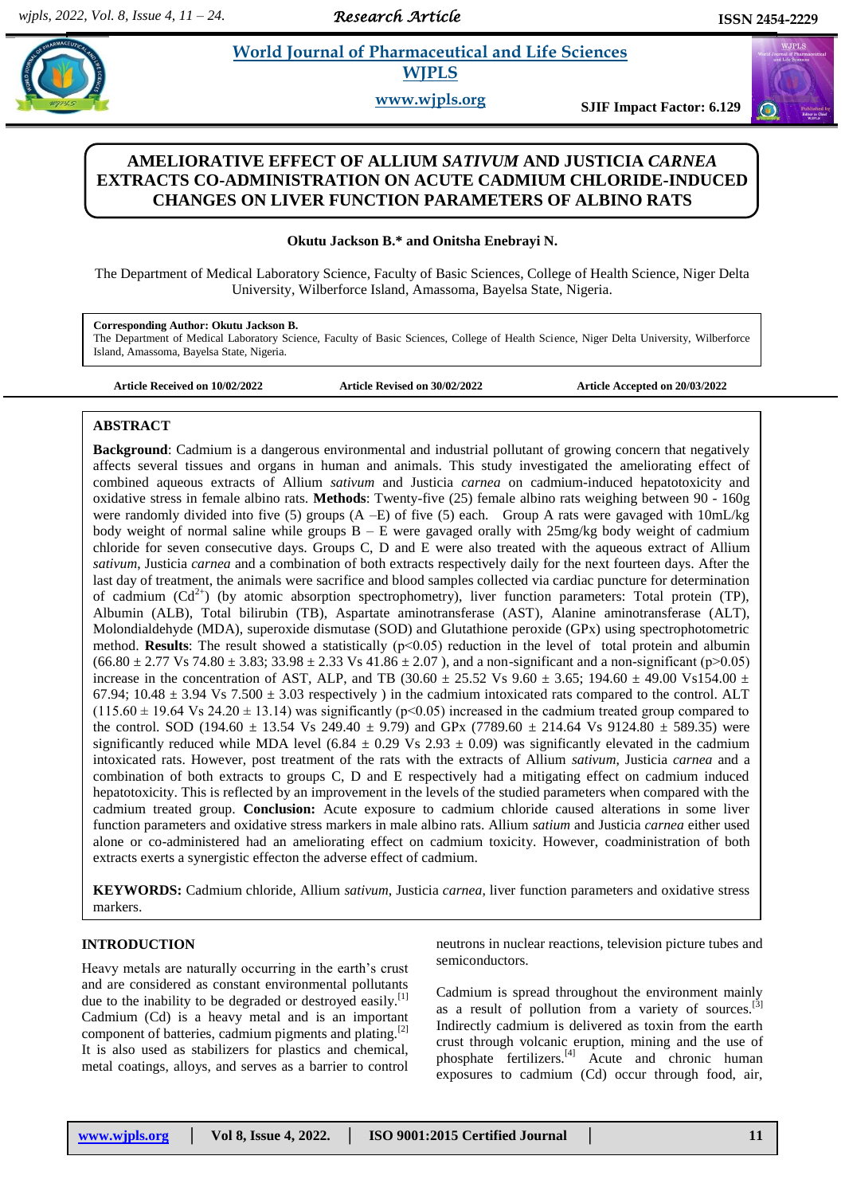*Research Article* 

 $(\omega)$ 

# **Property** *et al. al. al. 2013**Morld Journal of Pharmaceutical and Life Sciences* **WJPLS**

**www.wjpls.org SJIF Impact Factor: 6.129**

## **AMELIORATIVE EFFECT OF ALLIUM** *SATIVUM* **AND JUSTICIA** *CARNEA* **EXTRACTS CO-ADMINISTRATION ON ACUTE CADMIUM CHLORIDE-INDUCED CHANGES ON LIVER FUNCTION PARAMETERS OF ALBINO RATS**

**Okutu Jackson B.\* and Onitsha Enebrayi N.**

The Department of Medical Laboratory Science, Faculty of Basic Sciences, College of Health Science, Niger Delta University, Wilberforce Island, Amassoma, Bayelsa State, Nigeria.

**Corresponding Author: Okutu Jackson B.**

The Department of Medical Laboratory Science, Faculty of Basic Sciences, College of Health Science, Niger Delta University, Wilberforce Island, Amassoma, Bayelsa State, Nigeria.

**Article Received on 10/02/2022 Article Revised on 30/02/2022 Article Accepted on 20/03/2022**

## **ABSTRACT**

**Background**: Cadmium is a dangerous environmental and industrial pollutant of growing concern that negatively affects several tissues and organs in human and animals. This study investigated the ameliorating effect of combined aqueous extracts of Allium *sativum* and Justicia *carnea* on cadmium-induced hepatotoxicity and oxidative stress in female albino rats. **Methods**: Twenty-five (25) female albino rats weighing between 90 - 160g were randomly divided into five (5) groups (A –E) of five (5) each. Group A rats were gavaged with 10mL/kg body weight of normal saline while groups  $B - E$  were gavaged orally with  $25mg/kg$  body weight of cadmium chloride for seven consecutive days. Groups C, D and E were also treated with the aqueous extract of Allium *sativum*, Justicia *carnea* and a combination of both extracts respectively daily for the next fourteen days. After the last day of treatment, the animals were sacrifice and blood samples collected via cardiac puncture for determination of cadmium  $(Cd^{2+})$  (by atomic absorption spectrophometry), liver function parameters: Total protein (TP), Albumin (ALB), Total bilirubin (TB), Aspartate aminotransferase (AST), Alanine aminotransferase (ALT), Molondialdehyde (MDA), superoxide dismutase (SOD) and Glutathione peroxide (GPx) using spectrophotometric method. **Results**: The result showed a statistically ( $p<0.05$ ) reduction in the level of total protein and albumin  $(66.80 \pm 2.77 \text{ Vs } 74.80 \pm 3.83; 33.98 \pm 2.33 \text{ Vs } 41.86 \pm 2.07)$ , and a non-significant and a non-significant (p>0.05) increase in the concentration of AST, ALP, and TB (30.60  $\pm$  25.52 Vs 9.60  $\pm$  3.65; 194.60  $\pm$  49.00 Vs154.00  $\pm$ 67.94; 10.48  $\pm$  3.94 Vs 7.500  $\pm$  3.03 respectively ) in the cadmium intoxicated rats compared to the control. ALT  $(115.60 \pm 19.64 \text{ Vs } 24.20 \pm 13.14)$  was significantly (p<0.05) increased in the cadmium treated group compared to the control. SOD (194.60 *±* 13.54 Vs 249.40 *±* 9.79) and GPx (7789.60 *±* 214.64 Vs 9124.80 *±* 589.35) were significantly reduced while MDA level (6.84  $\pm$  0.29 Vs 2.93  $\pm$  0.09) was significantly elevated in the cadmium intoxicated rats. However, post treatment of the rats with the extracts of Allium *sativum*, Justicia *carnea* and a combination of both extracts to groups C, D and E respectively had a mitigating effect on cadmium induced hepatotoxicity. This is reflected by an improvement in the levels of the studied parameters when compared with the cadmium treated group. **Conclusion:** Acute exposure to cadmium chloride caused alterations in some liver function parameters and oxidative stress markers in male albino rats. Allium *satium* and Justicia *carnea* either used alone or co-administered had an ameliorating effect on cadmium toxicity. However, coadministration of both extracts exerts a synergistic effecton the adverse effect of cadmium.

**KEYWORDS:** Cadmium chloride, Allium *sativum*, Justicia *carnea*, liver function parameters and oxidative stress markers.

## **INTRODUCTION**

Heavy metals are naturally occurring in the earth"s crust and are considered as constant environmental pollutants due to the inability to be degraded or destroyed easily.<sup>[1]</sup> Cadmium (Cd) is a heavy metal and is an important component of batteries, cadmium pigments and plating.<sup>[2]</sup> It is also used as stabilizers for plastics and chemical, metal coatings, alloys, and serves as a barrier to control

neutrons in nuclear reactions, television picture tubes and semiconductors.

Cadmium is spread throughout the environment mainly as a result of pollution from a variety of sources.<sup>[3]</sup> Indirectly cadmium is delivered as toxin from the earth crust through volcanic eruption, mining and the use of phosphate fertilizers.[4] Acute and chronic human exposures to cadmium (Cd) occur through food, air,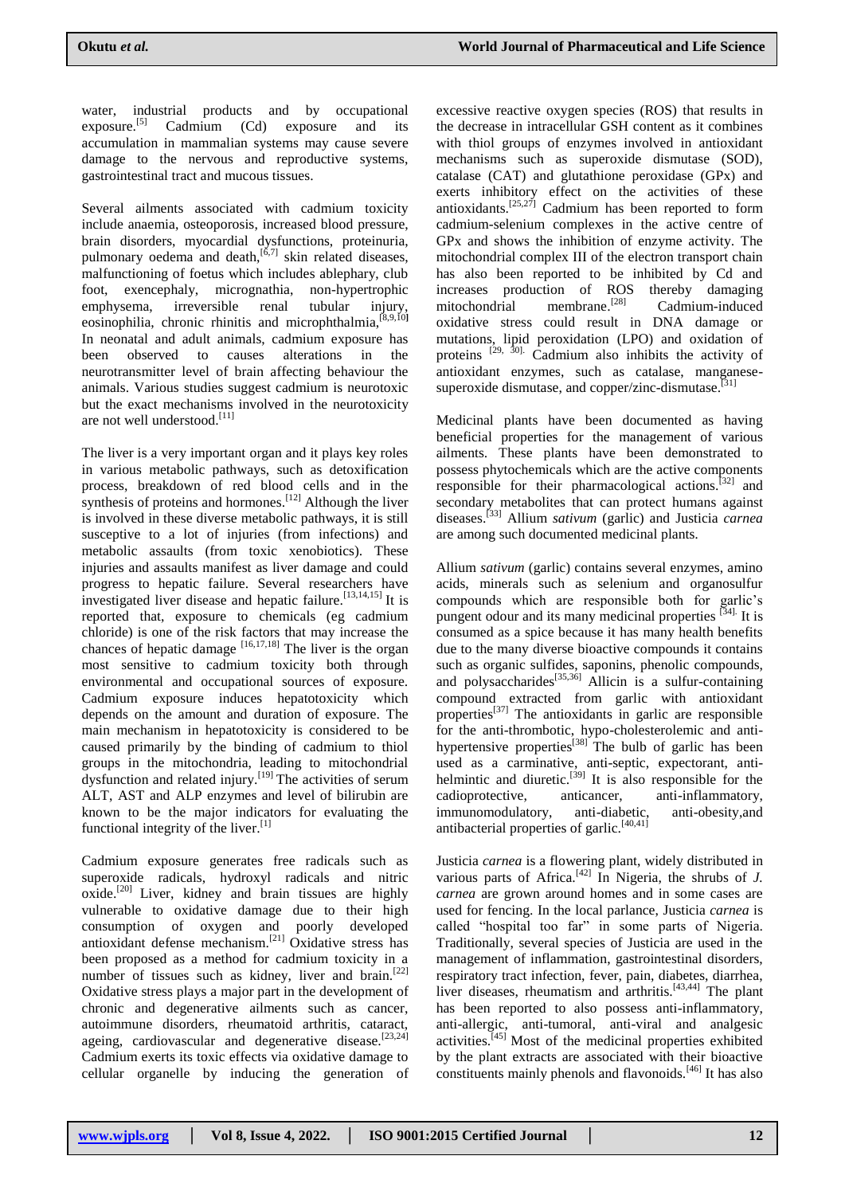water, industrial products and by occupational exposure.<sup>[5]</sup> Cadmium (Cd) exposure and its accumulation in mammalian systems may cause severe damage to the nervous and reproductive systems, gastrointestinal tract and mucous tissues.

Several ailments associated with cadmium toxicity include anaemia, osteoporosis, increased blood pressure, brain disorders, myocardial dysfunctions, proteinuria, pulmonary oedema and death,  $[6,7]$  skin related diseases, malfunctioning of foetus which includes ablephary, club foot, exencephaly, micrognathia, non-hypertrophic emphysema, irreversible renal tubular injury, eosinophilia, chronic rhinitis and microphthalmia,[8,9,10**]** In neonatal and adult animals, cadmium exposure has been observed to causes alterations in the neurotransmitter level of brain affecting behaviour the animals. Various studies suggest cadmium is neurotoxic but the exact mechanisms involved in the neurotoxicity are not well understood.[11]

The liver is a very important organ and it plays key roles in various metabolic pathways, such as detoxification process, breakdown of red blood cells and in the synthesis of proteins and hormones.<sup>[12]</sup> Although the liver is involved in these diverse metabolic pathways, it is still susceptive to a lot of injuries (from infections) and metabolic assaults (from toxic xenobiotics). These injuries and assaults manifest as liver damage and could progress to hepatic failure. Several researchers have investigated liver disease and hepatic failure.<sup>[13,14,15]</sup> It is reported that, exposure to chemicals (eg cadmium chloride) is one of the risk factors that may increase the chances of hepatic damage  $[16,17,18]$  The liver is the organ most sensitive to cadmium toxicity both through environmental and occupational sources of exposure. Cadmium exposure induces hepatotoxicity which depends on the amount and duration of exposure. The main mechanism in hepatotoxicity is considered to be caused primarily by the binding of cadmium to thiol groups in the mitochondria, leading to mitochondrial dysfunction and related injury.<sup>[19]</sup> The activities of serum ALT, AST and ALP enzymes and level of bilirubin are known to be the major indicators for evaluating the functional integrity of the liver.<sup>[1]</sup>

Cadmium exposure generates free radicals such as superoxide radicals, hydroxyl radicals and nitric  $oxide.$ <sup>[20]</sup> Liver, kidney and brain tissues are highly vulnerable to oxidative damage due to their high consumption of oxygen and poorly developed antioxidant defense mechanism.[21] Oxidative stress has been proposed as a method for cadmium toxicity in a number of tissues such as kidney, liver and brain.<sup>[22]</sup> Oxidative stress plays a major part in the development of chronic and degenerative ailments such as cancer, autoimmune disorders, rheumatoid arthritis, cataract, ageing, cardiovascular and degenerative disease.<sup>[23,24]</sup> Cadmium exerts its toxic effects via oxidative damage to cellular organelle by inducing the generation of

excessive reactive oxygen species (ROS) that results in the decrease in intracellular GSH content as it combines with thiol groups of enzymes involved in antioxidant mechanisms such as superoxide dismutase (SOD), catalase (CAT) and glutathione peroxidase (GPx) and exerts inhibitory effect on the activities of these antioxidants.<sup>[25,27]</sup> Cadmium has been reported to form cadmium-selenium complexes in the active centre of GPx and shows the inhibition of enzyme activity. The mitochondrial complex III of the electron transport chain has also been reported to be inhibited by Cd and increases production of ROS thereby damaging mitochondrial membrane.<sup>[28]</sup> Cadmium-induced oxidative stress could result in DNA damage or mutations, lipid peroxidation (LPO) and oxidation of proteins  $[29, 30]$ . Cadmium also inhibits the activity of antioxidant enzymes, such as catalase, manganesesuperoxide dismutase, and copper/zinc-dismutase.<sup>[31]</sup>

Medicinal plants have been documented as having beneficial properties for the management of various ailments. These plants have been demonstrated to possess phytochemicals which are the active components responsible for their pharmacological actions.<sup>[32]</sup> and secondary metabolites that can protect humans against diseases.[33] Allium *sativum* (garlic) and Justicia *carnea* are among such documented medicinal plants*.*

Allium *sativum* (garlic) contains several enzymes, amino acids, minerals such as selenium and organosulfur compounds which are responsible both for garlic"s pungent odour and its many medicinal properties <sup>[34].</sup> It is consumed as a spice because it has many health benefits due to the many diverse bioactive compounds it contains such as organic sulfides, saponins, phenolic compounds, and polysaccharides $^{[35,36]}$  Allicin is a sulfur-containing compound extracted from garlic with antioxidant properties<sup>[37]</sup> The antioxidants in garlic are responsible for the anti-thrombotic, hypo-cholesterolemic and antihypertensive properties<sup>[38]</sup> The bulb of garlic has been used as a carminative, anti-septic, expectorant, antihelmintic and diuretic.<sup>[39]</sup> It is also responsible for the cadioprotective, anticancer, anti-inflammatory, immunomodulatory, anti-diabetic, anti-obesity,and antibacterial properties of garlic.<sup>[40,41]</sup>

Justicia *carnea* is a flowering plant, widely distributed in various parts of Africa.<sup>[42]</sup> In Nigeria, the shrubs of  $J$ . *carnea* are grown around homes and in some cases are used for fencing. In the local parlance, Justicia *carnea* is called "hospital too far" in some parts of Nigeria. Traditionally, several species of Justicia are used in the management of inflammation, gastrointestinal disorders, respiratory tract infection, fever, pain, diabetes, diarrhea, liver diseases, rheumatism and arthritis.<sup>[43,44]</sup> The plant has been reported to also possess anti-inflammatory, anti-allergic, anti-tumoral, anti-viral and analgesic activities.<sup>[45]</sup> Most of the medicinal properties exhibited by the plant extracts are associated with their bioactive constituents mainly phenols and flavonoids.<sup>[46]</sup> It has also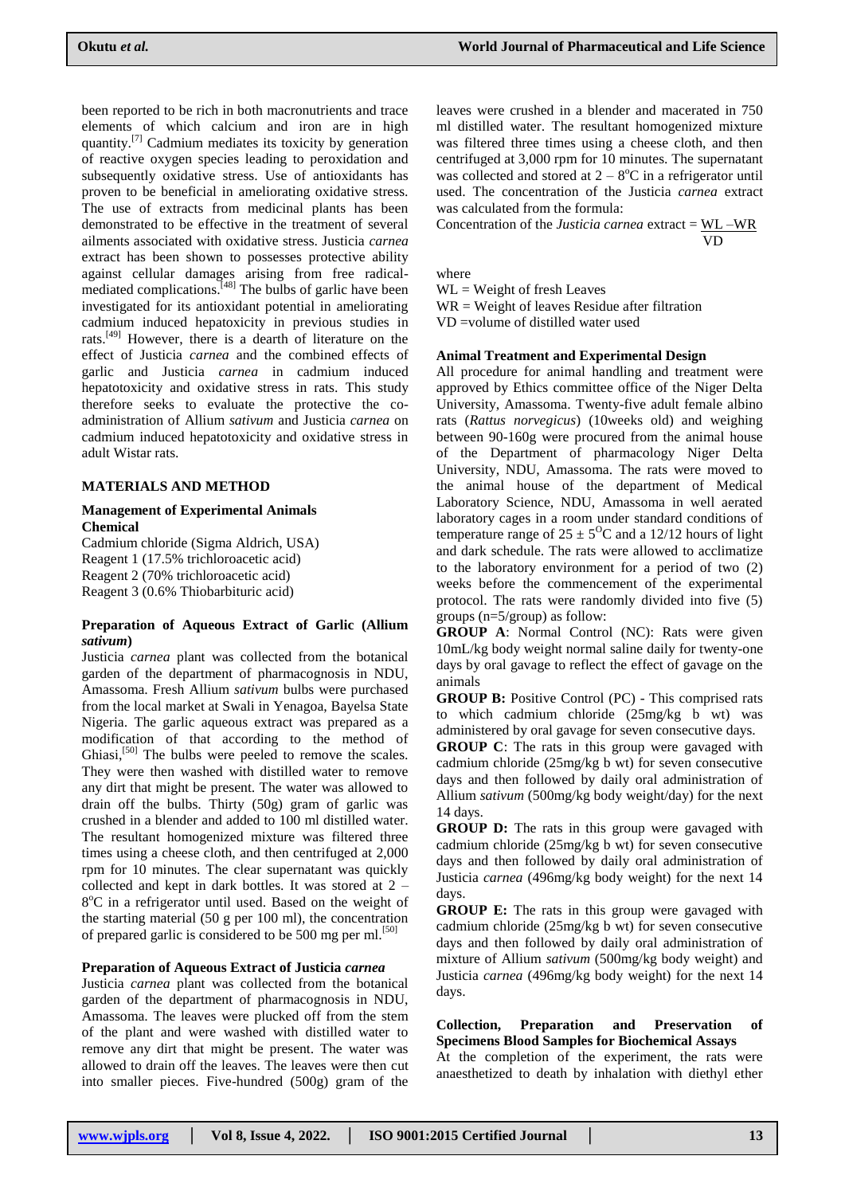been reported to be rich in both macronutrients and trace elements of which calcium and iron are in high quantity.<sup>[7]</sup> Cadmium mediates its toxicity by generation of reactive oxygen species leading to peroxidation and subsequently oxidative stress. Use of antioxidants has proven to be beneficial in ameliorating oxidative stress. The use of extracts from medicinal plants has been demonstrated to be effective in the treatment of several ailments associated with oxidative stress. Justicia *carnea* extract has been shown to possesses protective ability against cellular damages arising from free radicalmediated complications.<sup>[48]</sup> The bulbs of garlic have been investigated for its antioxidant potential in ameliorating cadmium induced hepatoxicity in previous studies in rats.[49] However, there is a dearth of literature on the effect of Justicia *carnea* and the combined effects of garlic and Justicia *carnea* in cadmium induced hepatotoxicity and oxidative stress in rats. This study therefore seeks to evaluate the protective the coadministration of Allium *sativum* and Justicia *carnea* on cadmium induced hepatotoxicity and oxidative stress in adult Wistar rats.

#### **MATERIALS AND METHOD**

#### **Management of Experimental Animals Chemical**

Cadmium chloride (Sigma Aldrich, USA) Reagent 1 (17.5% trichloroacetic acid) Reagent 2 (70% trichloroacetic acid) Reagent 3 (0.6% Thiobarbituric acid)

#### **Preparation of Aqueous Extract of Garlic (Allium**  *sativum***)**

Justicia *carnea* plant was collected from the botanical garden of the department of pharmacognosis in NDU, Amassoma. Fresh Allium *sativum* bulbs were purchased from the local market at Swali in Yenagoa, Bayelsa State Nigeria. The garlic aqueous extract was prepared as a modification of that according to the method of Ghiasi,<sup>[50]</sup> The bulbs were peeled to remove the scales. They were then washed with distilled water to remove any dirt that might be present. The water was allowed to drain off the bulbs. Thirty (50g) gram of garlic was crushed in a blender and added to 100 ml distilled water. The resultant homogenized mixture was filtered three times using a cheese cloth, and then centrifuged at 2,000 rpm for 10 minutes. The clear supernatant was quickly collected and kept in dark bottles. It was stored at 2 – 8°C in a refrigerator until used. Based on the weight of the starting material (50 g per 100 ml), the concentration of prepared garlic is considered to be 500 mg per ml.<sup>[50]</sup>

## **Preparation of Aqueous Extract of Justicia** *carnea*

Justicia *carnea* plant was collected from the botanical garden of the department of pharmacognosis in NDU, Amassoma. The leaves were plucked off from the stem of the plant and were washed with distilled water to remove any dirt that might be present. The water was allowed to drain off the leaves. The leaves were then cut into smaller pieces. Five-hundred (500g) gram of the

leaves were crushed in a blender and macerated in 750 ml distilled water. The resultant homogenized mixture was filtered three times using a cheese cloth, and then centrifuged at 3,000 rpm for 10 minutes. The supernatant was collected and stored at  $2 - 8$ <sup>o</sup>C in a refrigerator until used. The concentration of the Justicia *carnea* extract was calculated from the formula:

Concentration of the *Justicia carnea* extract = WL –WR VD

where

 $WL = Weight of fresh Leaves$ WR = Weight of leaves Residue after filtration VD =volume of distilled water used

## **Animal Treatment and Experimental Design**

All procedure for animal handling and treatment were approved by Ethics committee office of the Niger Delta University, Amassoma. Twenty-five adult female albino rats (*Rattus norvegicus*) (10weeks old) and weighing between 90-160g were procured from the animal house of the Department of pharmacology Niger Delta University, NDU, Amassoma. The rats were moved to the animal house of the department of Medical Laboratory Science, NDU, Amassoma in well aerated laboratory cages in a room under standard conditions of temperature range of  $25 \pm 5^{\circ}$ C and a 12/12 hours of light and dark schedule. The rats were allowed to acclimatize to the laboratory environment for a period of two (2) weeks before the commencement of the experimental protocol. The rats were randomly divided into five (5) groups (n=5/group) as follow:

**GROUP A**: Normal Control (NC): Rats were given 10mL/kg body weight normal saline daily for twenty-one days by oral gavage to reflect the effect of gavage on the animals

**GROUP B:** Positive Control (PC) - This comprised rats to which cadmium chloride (25mg/kg b wt) was administered by oral gavage for seven consecutive days.

**GROUP C**: The rats in this group were gavaged with cadmium chloride (25mg/kg b wt) for seven consecutive days and then followed by daily oral administration of Allium *sativum* (500mg/kg body weight/day) for the next 14 days.

**GROUP D:** The rats in this group were gavaged with cadmium chloride (25mg/kg b wt) for seven consecutive days and then followed by daily oral administration of Justicia *carnea* (496mg/kg body weight) for the next 14 days.

**GROUP E:** The rats in this group were gavaged with cadmium chloride (25mg/kg b wt) for seven consecutive days and then followed by daily oral administration of mixture of Allium *sativum* (500mg/kg body weight) and Justicia *carnea* (496mg/kg body weight) for the next 14 days.

## **Collection, Preparation and Preservation of Specimens Blood Samples for Biochemical Assays**

At the completion of the experiment, the rats were anaesthetized to death by inhalation with diethyl ether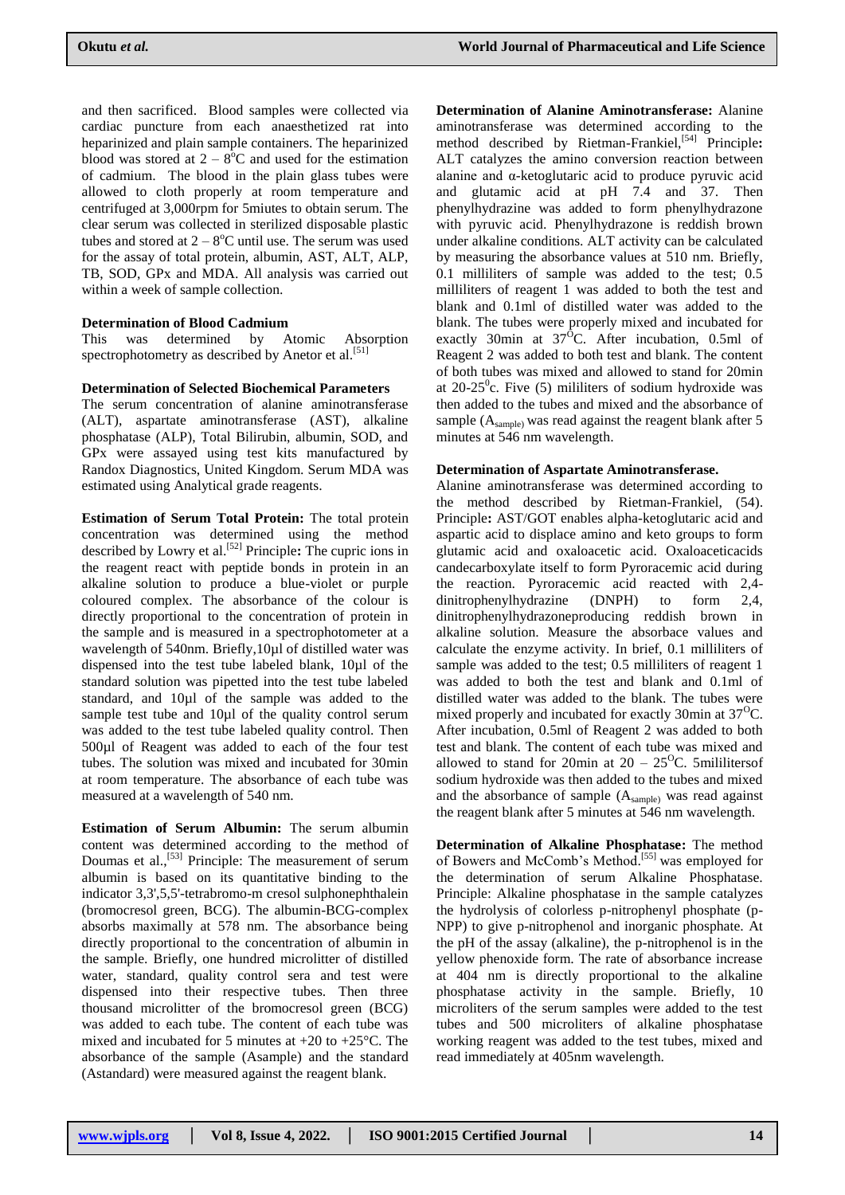and then sacrificed. Blood samples were collected via cardiac puncture from each anaesthetized rat into heparinized and plain sample containers. The heparinized blood was stored at  $2 - 8^{\circ}$ C and used for the estimation of cadmium. The blood in the plain glass tubes were allowed to cloth properly at room temperature and centrifuged at 3,000rpm for 5miutes to obtain serum. The clear serum was collected in sterilized disposable plastic tubes and stored at  $2 - 8$ <sup>o</sup>C until use. The serum was used for the assay of total protein, albumin, AST, ALT, ALP, TB, SOD, GPx and MDA. All analysis was carried out within a week of sample collection.

#### **Determination of Blood Cadmium**

This was determined by Atomic Absorption spectrophotometry as described by Anetor et al.<sup>[51]</sup>

## **Determination of Selected Biochemical Parameters**

The serum concentration of alanine aminotransferase (ALT), aspartate aminotransferase (AST), alkaline phosphatase (ALP), Total Bilirubin, albumin, SOD, and GPx were assayed using test kits manufactured by Randox Diagnostics, United Kingdom. Serum MDA was estimated using Analytical grade reagents.

**Estimation of Serum Total Protein:** The total protein concentration was determined using the method described by Lowry et al.[52] Principle**:** The cupric ions in the reagent react with peptide bonds in protein in an alkaline solution to produce a blue-violet or purple coloured complex. The absorbance of the colour is directly proportional to the concentration of protein in the sample and is measured in a spectrophotometer at a wavelength of 540nm. Briefly, 10ul of distilled water was dispensed into the test tube labeled blank, 10µl of the standard solution was pipetted into the test tube labeled standard, and 10µl of the sample was added to the sample test tube and 10µl of the quality control serum was added to the test tube labeled quality control. Then 500µl of Reagent was added to each of the four test tubes. The solution was mixed and incubated for 30min at room temperature. The absorbance of each tube was measured at a wavelength of 540 nm.

**Estimation of Serum Albumin:** The serum albumin content was determined according to the method of Doumas et al.,<sup>[53]</sup> Principle: The measurement of serum albumin is based on its quantitative binding to the indicator 3,3',5,5'-tetrabromo-m cresol sulphonephthalein (bromocresol green, BCG). The albumin-BCG-complex absorbs maximally at 578 nm. The absorbance being directly proportional to the concentration of albumin in the sample. Briefly, one hundred microlitter of distilled water, standard, quality control sera and test were dispensed into their respective tubes. Then three thousand microlitter of the bromocresol green (BCG) was added to each tube. The content of each tube was mixed and incubated for 5 minutes at  $+20$  to  $+25^{\circ}$ C. The absorbance of the sample (Asample) and the standard (Astandard) were measured against the reagent blank.

**Determination of Alanine Aminotransferase:** Alanine aminotransferase was determined according to the method described by Rietman-Frankiel,[54] Principle**:**  ALT catalyzes the amino conversion reaction between alanine and α-ketoglutaric acid to produce pyruvic acid and glutamic acid at pH 7.4 and 37. Then phenylhydrazine was added to form phenylhydrazone with pyruvic acid. Phenylhydrazone is reddish brown under alkaline conditions. ALT activity can be calculated by measuring the absorbance values at 510 nm. Briefly, 0.1 milliliters of sample was added to the test; 0.5 milliliters of reagent 1 was added to both the test and blank and 0.1ml of distilled water was added to the blank. The tubes were properly mixed and incubated for exactly 30min at  $37^{\circ}$ C. After incubation, 0.5ml of Reagent 2 was added to both test and blank. The content of both tubes was mixed and allowed to stand for 20min at  $20-25^\circ$ c. Five (5) mililiters of sodium hydroxide was then added to the tubes and mixed and the absorbance of sample (A<sub>sample</sub>) was read against the reagent blank after 5 minutes at 546 nm wavelength.

#### **Determination of Aspartate Aminotransferase.**

Alanine aminotransferase was determined according to the method described by Rietman-Frankiel, (54). Principle**:** AST/GOT enables alpha-ketoglutaric acid and aspartic acid to displace amino and keto groups to form glutamic acid and oxaloacetic acid. Oxaloaceticacids candecarboxylate itself to form Pyroracemic acid during the reaction. Pyroracemic acid reacted with 2,4 dinitrophenylhydrazine (DNPH) to form 2,4, dinitrophenylhydrazoneproducing reddish brown in alkaline solution. Measure the absorbace values and calculate the enzyme activity. In brief, 0.1 milliliters of sample was added to the test; 0.5 milliliters of reagent 1 was added to both the test and blank and 0.1ml of distilled water was added to the blank. The tubes were mixed properly and incubated for exactly 30min at  $37^{\circ}$ C. After incubation, 0.5ml of Reagent 2 was added to both test and blank. The content of each tube was mixed and allowed to stand for 20min at  $20 - 25^{\circ}$ C. 5mililitersof sodium hydroxide was then added to the tubes and mixed and the absorbance of sample (Asample) was read against the reagent blank after 5 minutes at 546 nm wavelength.

**Determination of Alkaline Phosphatase:** The method of Bowers and McComb's Method.<sup>[55]</sup> was employed for the determination of serum Alkaline Phosphatase. Principle: Alkaline phosphatase in the sample catalyzes the hydrolysis of colorless p-nitrophenyl phosphate (p-NPP) to give p-nitrophenol and inorganic phosphate. At the pH of the assay (alkaline), the p-nitrophenol is in the yellow phenoxide form. The rate of absorbance increase at 404 nm is directly proportional to the alkaline phosphatase activity in the sample. Briefly, 10 microliters of the serum samples were added to the test tubes and 500 microliters of alkaline phosphatase working reagent was added to the test tubes, mixed and read immediately at 405nm wavelength.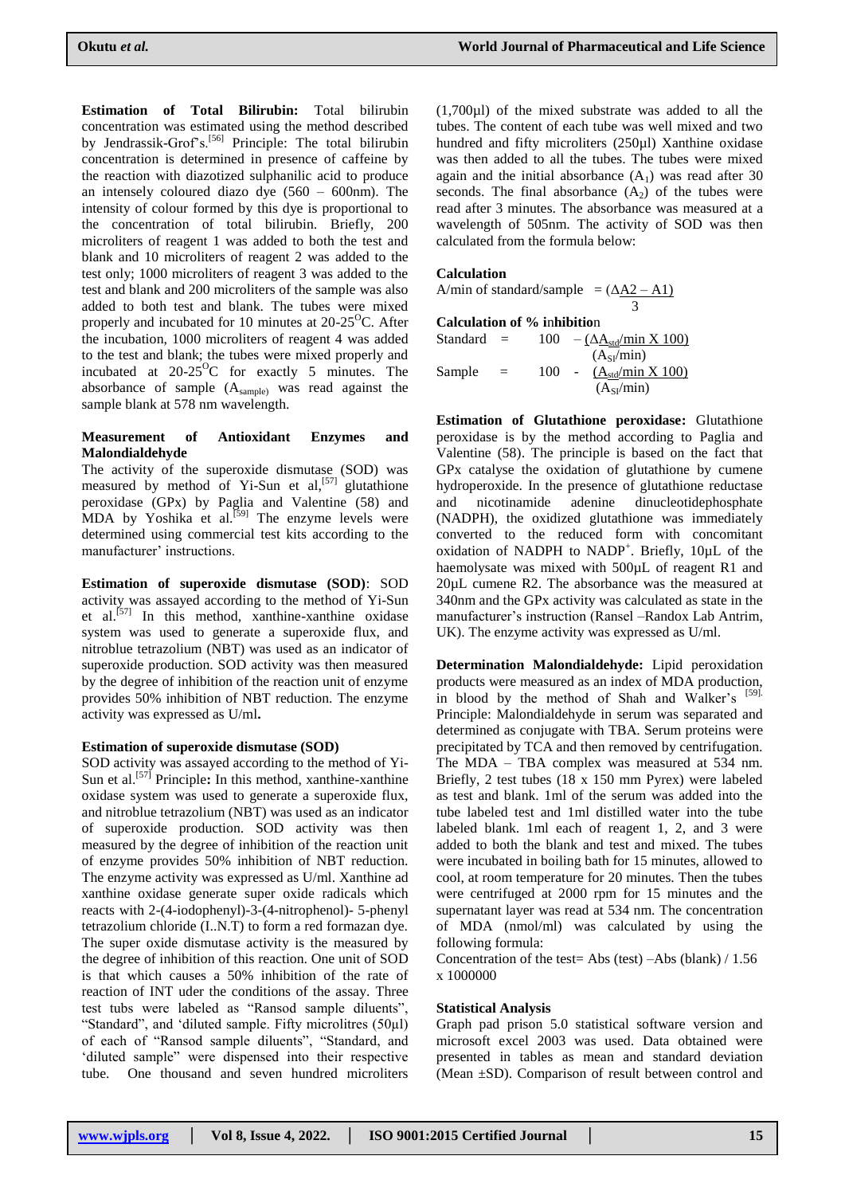**Estimation of Total Bilirubin:** Total bilirubin concentration was estimated using the method described by Jendrassik-Grof's.<sup>[56]</sup> Principle: The total bilirubin concentration is determined in presence of caffeine by the reaction with diazotized sulphanilic acid to produce an intensely coloured diazo dye  $(560 - 600)$ m). The intensity of colour formed by this dye is proportional to the concentration of total bilirubin. Briefly, 200 microliters of reagent 1 was added to both the test and blank and 10 microliters of reagent 2 was added to the test only; 1000 microliters of reagent 3 was added to the test and blank and 200 microliters of the sample was also added to both test and blank. The tubes were mixed properly and incubated for 10 minutes at  $20-25^{\circ}$ C. After the incubation, 1000 microliters of reagent 4 was added to the test and blank; the tubes were mixed properly and incubated at  $20-25^{\circ}$ C for exactly 5 minutes. The absorbance of sample (Asample) was read against the sample blank at 578 nm wavelength.

## **Measurement of Antioxidant Enzymes and Malondialdehyde**

The activity of the superoxide dismutase (SOD) was measured by method of Yi-Sun et  $al$ ,  $[57]$  glutathione peroxidase (GPx) by Paglia and Valentine (58) and MDA by Yoshika et al.<sup>[59]</sup> The enzyme levels were determined using commercial test kits according to the manufacturer' instructions.

**Estimation of superoxide dismutase (SOD)**: SOD activity was assayed according to the method of Yi-Sun et al.<sup>[57]</sup> In this method, xanthine-xanthine oxidase system was used to generate a superoxide flux, and nitroblue tetrazolium (NBT) was used as an indicator of superoxide production. SOD activity was then measured by the degree of inhibition of the reaction unit of enzyme provides 50% inhibition of NBT reduction. The enzyme activity was expressed as U/ml**.**

#### **Estimation of superoxide dismutase (SOD)**

SOD activity was assayed according to the method of Yi-Sun et al.<sup>[57]</sup> Principle: In this method, xanthine-xanthine oxidase system was used to generate a superoxide flux, and nitroblue tetrazolium (NBT) was used as an indicator of superoxide production. SOD activity was then measured by the degree of inhibition of the reaction unit of enzyme provides 50% inhibition of NBT reduction. The enzyme activity was expressed as U/ml. Xanthine ad xanthine oxidase generate super oxide radicals which reacts with 2-(4-iodophenyl)-3-(4-nitrophenol)- 5-phenyl tetrazolium chloride (I..N.T) to form a red formazan dye. The super oxide dismutase activity is the measured by the degree of inhibition of this reaction. One unit of SOD is that which causes a 50% inhibition of the rate of reaction of INT uder the conditions of the assay. Three test tubs were labeled as "Ransod sample diluents", "Standard", and "diluted sample. Fifty microlitres (50µl) of each of "Ransod sample diluents", "Standard, and 'diluted sample'' were dispensed into their respective tube. One thousand and seven hundred microliters

(1,700µl) of the mixed substrate was added to all the tubes. The content of each tube was well mixed and two hundred and fifty microliters (250µl) Xanthine oxidase was then added to all the tubes. The tubes were mixed again and the initial absorbance  $(A<sub>1</sub>)$  was read after 30 seconds. The final absorbance  $(A_2)$  of the tubes were read after 3 minutes. The absorbance was measured at a wavelength of 505nm. The activity of SOD was then calculated from the formula below:

## **Calculation**

A/min of standard/sample =  $(\Delta A2 - A1)$  3 **Calculation of % i**n**hibitio**n Standard =  $100 - (\Delta \underline{A}_{std/min} X 100)$  $(A_{SI}/min)$ Sample =  $100 - (A_{std/min} X 100)$  $(A_{SI}/min)$ 

**Estimation of Glutathione peroxidase:** Glutathione peroxidase is by the method according to Paglia and Valentine (58). The principle is based on the fact that GPx catalyse the oxidation of glutathione by cumene hydroperoxide. In the presence of glutathione reductase and nicotinamide adenine dinucleotidephosphate (NADPH), the oxidized glutathione was immediately converted to the reduced form with concomitant oxidation of NADPH to NADP<sup>+</sup>. Briefly, 10µL of the haemolysate was mixed with 500 $\mu$ L of reagent R1 and 20µL cumene R2. The absorbance was the measured at 340nm and the GPx activity was calculated as state in the manufacturer's instruction (Ransel –Randox Lab Antrim, UK). The enzyme activity was expressed as U/ml.

**Determination Malondialdehyde:** Lipid peroxidation products were measured as an index of MDA production, in blood by the method of Shah and Walker's [59]. Principle: Malondialdehyde in serum was separated and determined as conjugate with TBA. Serum proteins were precipitated by TCA and then removed by centrifugation. The MDA – TBA complex was measured at 534 nm. Briefly, 2 test tubes (18 x 150 mm Pyrex) were labeled as test and blank. 1ml of the serum was added into the tube labeled test and 1ml distilled water into the tube labeled blank. 1ml each of reagent 1, 2, and 3 were added to both the blank and test and mixed. The tubes were incubated in boiling bath for 15 minutes, allowed to cool, at room temperature for 20 minutes. Then the tubes were centrifuged at 2000 rpm for 15 minutes and the supernatant layer was read at 534 nm. The concentration of MDA (nmol/ml) was calculated by using the following formula:

Concentration of the test= Abs (test) –Abs (blank) / 1.56 x 1000000

#### **Statistical Analysis**

Graph pad prison 5.0 statistical software version and microsoft excel 2003 was used. Data obtained were presented in tables as mean and standard deviation (Mean ±SD). Comparison of result between control and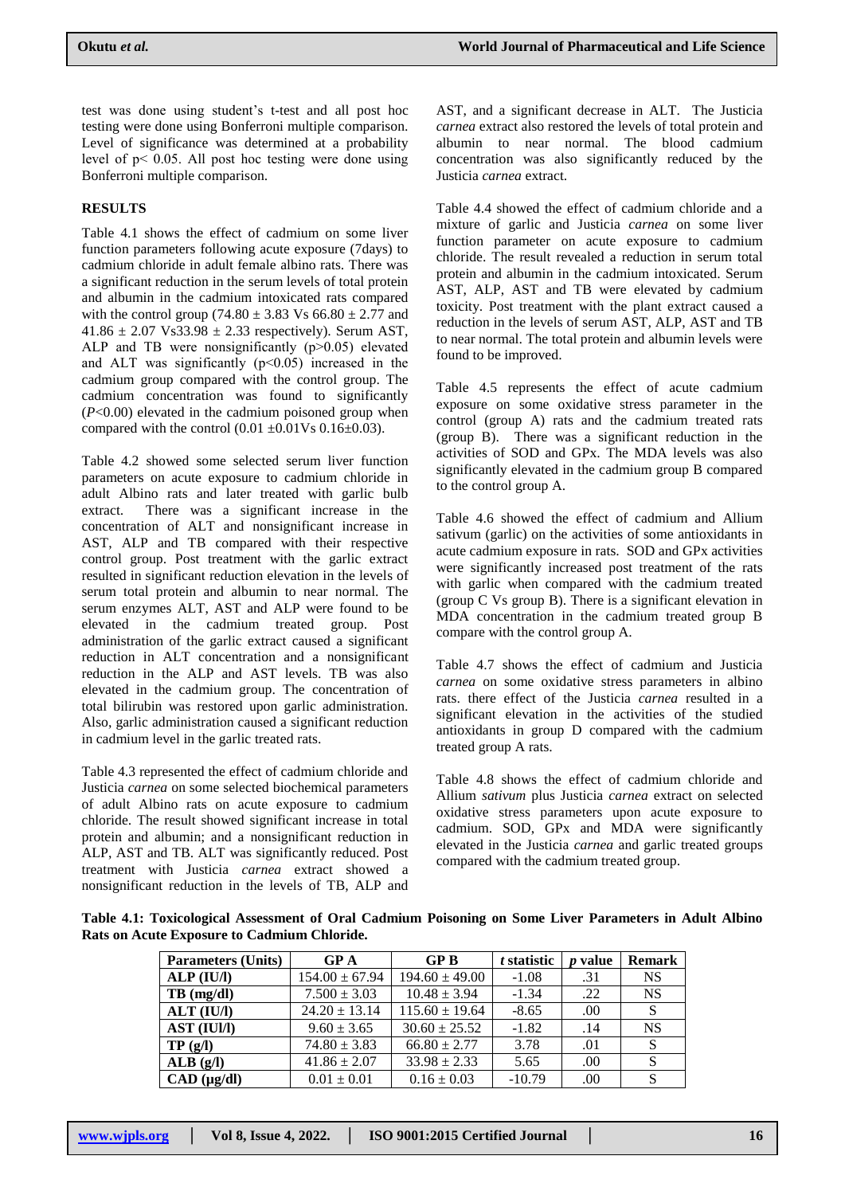test was done using student"s t-test and all post hoc testing were done using Bonferroni multiple comparison. Level of significance was determined at a probability level of  $p < 0.05$ . All post hoc testing were done using Bonferroni multiple comparison.

## **RESULTS**

Table 4.1 shows the effect of cadmium on some liver function parameters following acute exposure (7days) to cadmium chloride in adult female albino rats. There was a significant reduction in the serum levels of total protein and albumin in the cadmium intoxicated rats compared with the control group (74.80  $\pm$  3.83 Vs 66.80  $\pm$  2.77 and  $41.86 \pm 2.07$  Vs33.98  $\pm$  2.33 respectively). Serum AST, ALP and TB were nonsignificantly  $(p>0.05)$  elevated and ALT was significantly (p˂0.05) increased in the cadmium group compared with the control group. The cadmium concentration was found to significantly (*P*<0.00) elevated in the cadmium poisoned group when compared with the control  $(0.01 \pm 0.01 \text{Vs } 0.16 \pm 0.03)$ .

Table 4.2 showed some selected serum liver function parameters on acute exposure to cadmium chloride in adult Albino rats and later treated with garlic bulb extract. There was a significant increase in the concentration of ALT and nonsignificant increase in AST, ALP and TB compared with their respective control group. Post treatment with the garlic extract resulted in significant reduction elevation in the levels of serum total protein and albumin to near normal. The serum enzymes ALT, AST and ALP were found to be elevated in the cadmium treated group. Post administration of the garlic extract caused a significant reduction in ALT concentration and a nonsignificant reduction in the ALP and AST levels. TB was also elevated in the cadmium group. The concentration of total bilirubin was restored upon garlic administration. Also, garlic administration caused a significant reduction in cadmium level in the garlic treated rats.

Table 4.3 represented the effect of cadmium chloride and Justicia *carnea* on some selected biochemical parameters of adult Albino rats on acute exposure to cadmium chloride. The result showed significant increase in total protein and albumin; and a nonsignificant reduction in ALP, AST and TB. ALT was significantly reduced. Post treatment with Justicia *carnea* extract showed a nonsignificant reduction in the levels of TB, ALP and

AST, and a significant decrease in ALT. The Justicia *carnea* extract also restored the levels of total protein and albumin to near normal. The blood cadmium concentration was also significantly reduced by the Justicia *carnea* extract.

Table 4.4 showed the effect of cadmium chloride and a mixture of garlic and Justicia *carnea* on some liver function parameter on acute exposure to cadmium chloride. The result revealed a reduction in serum total protein and albumin in the cadmium intoxicated. Serum AST, ALP, AST and TB were elevated by cadmium toxicity. Post treatment with the plant extract caused a reduction in the levels of serum AST, ALP, AST and TB to near normal. The total protein and albumin levels were found to be improved.

Table 4.5 represents the effect of acute cadmium exposure on some oxidative stress parameter in the control (group A) rats and the cadmium treated rats (group B). There was a significant reduction in the activities of SOD and GPx. The MDA levels was also significantly elevated in the cadmium group B compared to the control group A.

Table 4.6 showed the effect of cadmium and Allium sativum (garlic) on the activities of some antioxidants in acute cadmium exposure in rats. SOD and GPx activities were significantly increased post treatment of the rats with garlic when compared with the cadmium treated (group C Vs group B). There is a significant elevation in MDA concentration in the cadmium treated group B compare with the control group A.

Table 4.7 shows the effect of cadmium and Justicia *carnea* on some oxidative stress parameters in albino rats. there effect of the Justicia *carnea* resulted in a significant elevation in the activities of the studied antioxidants in group D compared with the cadmium treated group A rats.

Table 4.8 shows the effect of cadmium chloride and Allium *sativum* plus Justicia *carnea* extract on selected oxidative stress parameters upon acute exposure to cadmium. SOD, GPx and MDA were significantly elevated in the Justicia *carnea* and garlic treated groups compared with the cadmium treated group.

**Table 4.1: Toxicological Assessment of Oral Cadmium Poisoning on Some Liver Parameters in Adult Albino Rats on Acute Exposure to Cadmium Chloride.**

| <b>Parameters (Units)</b> | GPA                | GPB                | t statistic | <i>p</i> value | <b>Remark</b> |
|---------------------------|--------------------|--------------------|-------------|----------------|---------------|
| ALP (IU/I)                | $154.00 \pm 67.94$ | $194.60 \pm 49.00$ | $-1.08$     | .31            | <b>NS</b>     |
| $TB$ (mg/dl)              | $7.500 \pm 3.03$   | $10.48 \pm 3.94$   | $-1.34$     | .22            | <b>NS</b>     |
| $ALT$ (IU/I)              | $24.20 \pm 13.14$  | $115.60 \pm 19.64$ | $-8.65$     | .00.           | S             |
| <b>AST (IUI/I)</b>        | $9.60 \pm 3.65$    | $30.60 \pm 25.52$  | $-1.82$     | .14            | <b>NS</b>     |
| TP(g/l)                   | $74.80 \pm 3.83$   | $66.80 \pm 2.77$   | 3.78        | .01            | S             |
| ALB(g/I)                  | $41.86 \pm 2.07$   | $33.98 \pm 2.33$   | 5.65        | .00            | S             |
| $CAD$ ( $\mu$ g/dl)       | $0.01 \pm 0.01$    | $0.16 \pm 0.03$    | $-10.79$    | .00            | S             |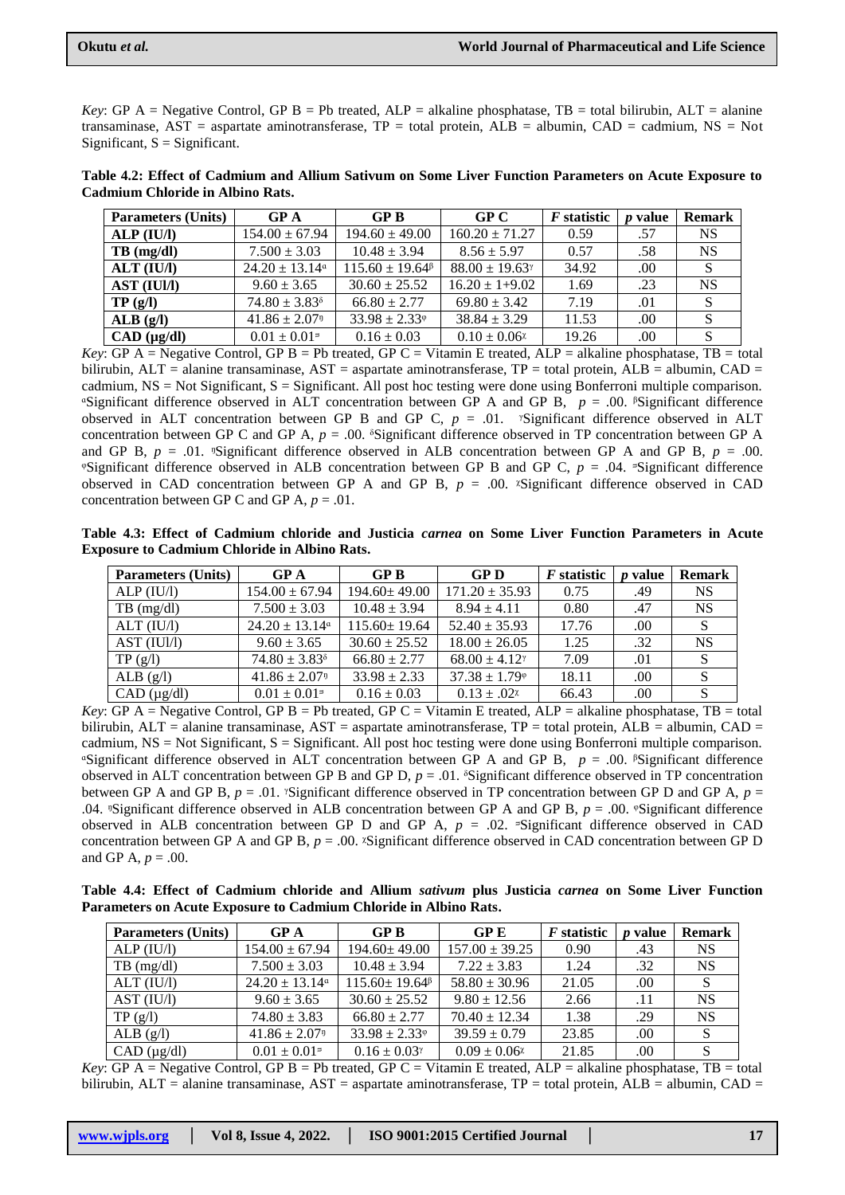*Key*: GP A = Negative Control, GP B = Pb treated, ALP = alkaline phosphatase, TB = total bilirubin, ALT = alanine transaminase,  $AST =$  aspartate aminotransferase,  $TP =$  total protein,  $ALB =$  albumin,  $CAD =$  cadmium,  $NS =$  Not Significant,  $S =$  Significant.

| <b>Parameters (Units)</b> | GPA                            | GPB                           | GPC                        | <i>F</i> statistic | <i>p</i> value | <b>Remark</b> |
|---------------------------|--------------------------------|-------------------------------|----------------------------|--------------------|----------------|---------------|
| ALP (IU/I)                | $154.00 \pm 67.94$             | $194.60 \pm 49.00$            | $160.20 \pm 71.27$         | 0.59               | .57            | <b>NS</b>     |
| $TB$ (mg/dl)              | $7.500 \pm 3.03$               | $10.48 \pm 3.94$              | $8.56 \pm 5.97$            | 0.57               | .58            | <b>NS</b>     |
| $ALT$ (IU/I)              | $24.20 \pm 13.14$ <sup>a</sup> | $115.60 \pm 19.64^{\beta}$    | $88.00 \pm 19.63^{\gamma}$ | 34.92              | .00            |               |
| <b>AST (IUI/I)</b>        | $9.60 \pm 3.65$                | $30.60 \pm 25.52$             | $16.20 \pm 1 + 9.02$       | 1.69               | .23            | <b>NS</b>     |
| TP(g/l)                   | $74.80 \pm 3.83^{\circ}$       | $66.80 \pm 2.77$              | $69.80 \pm 3.42$           | 7.19               | .01            |               |
| ALB(g/I)                  | $41.86 \pm 2.07$ <sup>n</sup>  | $33.98 \pm 2.33$ <sup>®</sup> | $38.84 \pm 3.29$           | 11.53              | .00            |               |
| $CAD$ ( $\mu$ g/dl)       | $0.01 \pm 0.01$ <sup>=</sup>   | $0.16 \pm 0.03$               | $0.10 \pm 0.06$            | 19.26              | .00            |               |

**Table 4.2: Effect of Cadmium and Allium Sativum on Some Liver Function Parameters on Acute Exposure to Cadmium Chloride in Albino Rats.**

*Key*: GP A = Negative Control, GP B = Pb treated, GP C = Vitamin E treated, ALP = alkaline phosphatase, TB = total bilirubin,  $ALT =$  alanine transaminase,  $AST =$  aspartate aminotransferase,  $TP =$  total protein,  $ALB =$  albumin,  $CAD =$ cadmium,  $NS = Not Significant$ ,  $S = Significant$ . All post hoc testing were done using Bonferroni multiple comparison.  $\text{``Significant difference observed in ALT concentration between GP A and GP B, } p = .00$ .  $\text{``Significant difference}$ observed in ALT concentration between GP B and GP C,  $p = .01$ . *Significant difference observed in ALT* concentration between GP C and GP A,  $p = .00$ . <sup>§</sup>Significant difference observed in TP concentration between GP A and GP B,  $p = .01$ . <sup>n</sup>Significant difference observed in ALB concentration between GP A and GP B,  $p = .00$ .  $\textdegree$ Significant difference observed in ALB concentration between GP B and GP C,  $p = .04$ .  $\textdegree$ Significant difference observed in CAD concentration between GP A and GP B,  $p = .00$ . <sup>*x*Significant difference observed in CAD</sup> concentration between GP C and GP A,  $p = .01$ .

**Table 4.3: Effect of Cadmium chloride and Justicia** *carnea* **on Some Liver Function Parameters in Acute Exposure to Cadmium Chloride in Albino Rats.**

| <b>Parameters (Units)</b> | $\bf{G}P\bf{A}$               | GPB                | <b>GPD</b>                    | <i>F</i> statistic | value<br>$\boldsymbol{n}$ | <b>Remark</b> |
|---------------------------|-------------------------------|--------------------|-------------------------------|--------------------|---------------------------|---------------|
| ALP (IU/l)                | $154.00 \pm 67.94$            | $194.60 \pm 49.00$ | $171.20 \pm 35.93$            | 0.75               | .49                       | <b>NS</b>     |
| $TB$ (mg/dl)              | $7.500 \pm 3.03$              | $10.48 \pm 3.94$   | $8.94 \pm 4.11$               | 0.80               | .47                       | <b>NS</b>     |
| ALT (IU/I)                | $24.20 \pm 13.14^{\circ}$     | $115.60 \pm 19.64$ | $52.40 \pm 35.93$             | 17.76              | .00.                      |               |
| AST (IUI/I)               | $9.60 \pm 3.65$               | $30.60 \pm 25.52$  | $18.00 \pm 26.05$             | 1.25               | .32                       | <b>NS</b>     |
| TP(g/l)                   | $74.80 \pm 3.83^8$            | $66.80 \pm 2.77$   | $68.00 \pm 4.12$              | 7.09               | .01                       |               |
| ALB $(g/l)$               | $41.86 \pm 2.07$ <sup>n</sup> | $33.98 \pm 2.33$   | $37.38 \pm 1.79$ <sup>®</sup> | 18.11              | .00                       |               |
| $CAD$ ( $\mu$ g/dl)       | $0.01 \pm 0.01$ <sup>=</sup>  | $0.16 \pm 0.03$    | $0.13 \pm .02^x$              | 66.43              | .00                       |               |

*Key*:  $\overline{GP}$  A = Negative Control,  $\overline{GP}$  B = Pb treated,  $\overline{GP}$  C = Vitamin E treated,  $\overline{ALP}$  = alkaline phosphatase,  $\overline{TB}$  = total bilirubin,  $ALT =$  alanine transaminase,  $AST =$  aspartate aminotransferase,  $TP =$  total protein,  $ALB =$  albumin,  $CAD =$ cadmium,  $NS = Not Significant$ ,  $S = Significant$ . All post hoc testing were done using Bonferroni multiple comparison.  $\text{``Significant difference observed in ALT concentration between GP A and GP B, } p = .00$ .  $\text{``Significant difference}$ observed in ALT concentration between GP B and GP D,  $p = .01$ . <sup> $\delta$ </sup>Significant difference observed in TP concentration between GP A and GP B,  $p = .01$ . *N*Significant difference observed in TP concentration between GP D and GP A,  $p =$ .04.  $\text{``Significant difference observed in ALB concentration between GP A and GP B, } p = .00. \text{``Significant difference}$ observed in ALB concentration between GP D and GP A,  $p = .02$ . <sup>5</sup>Significant difference observed in CAD concentration between GP A and GP B,  $p = 0.00$ . *Z*Significant difference observed in CAD concentration between GP D and GP A,  $p = .00$ .

**Table 4.4: Effect of Cadmium chloride and Allium** *sativum* **plus Justicia** *carnea* **on Some Liver Function Parameters on Acute Exposure to Cadmium Chloride in Albino Rats.**

| <b>Parameters (Units)</b> | GPA                            | GPB                                            | <b>GPE</b>         | <i>F</i> statistic | <i>v</i> value | <b>Remark</b> |
|---------------------------|--------------------------------|------------------------------------------------|--------------------|--------------------|----------------|---------------|
| ALP (IU/I)                | $154.00 \pm 67.94$             | $194.60 \pm 49.00$                             | $157.00 \pm 39.25$ | 0.90               | .43            | <b>NS</b>     |
| $TB \text{ (mg/dl)}$      | $7.500 \pm 3.03$               | $10.48 \pm 3.94$                               | $7.22 \pm 3.83$    | 1.24               | .32            | <b>NS</b>     |
| ALT (IU/l)                | $24.20 \pm 13.14$ <sup>a</sup> | $115.60 \pm 19.64^{\beta}$                     | $58.80 \pm 30.96$  | 21.05              | .00            |               |
| AST (IU/I)                | $9.60 \pm 3.65$                | $30.60 \pm 25.52$                              | $9.80 \pm 12.56$   | 2.66               | .11            | <b>NS</b>     |
| TP(g/l)                   | $74.80 \pm 3.83$               | $66.80 \pm 2.77$                               | $70.40 \pm 12.34$  | 1.38               | .29            | <b>NS</b>     |
| ALB(g/l)                  | $41.86 \pm 2.07$ <sup>n</sup>  | $33.98 \pm 2.33$                               | $39.59 \pm 0.79$   | 23.85              | .00            |               |
| $CAD$ ( $\mu$ g/dl)       | $0.01 \pm 0.01$ <sup>=</sup>   | $0.16 \pm 0.03$ <sup><math>\gamma</math></sup> | $0.09 \pm 0.06x$   | 21.85              | .00            |               |

*Key*: GP A = Negative Control, GP B = Pb treated, GP C = Vitamin E treated, ALP = alkaline phosphatase, TB = total bilirubin, ALT = alanine transaminase, AST = aspartate aminotransferase, TP = total protein, ALB = albumin, CAD =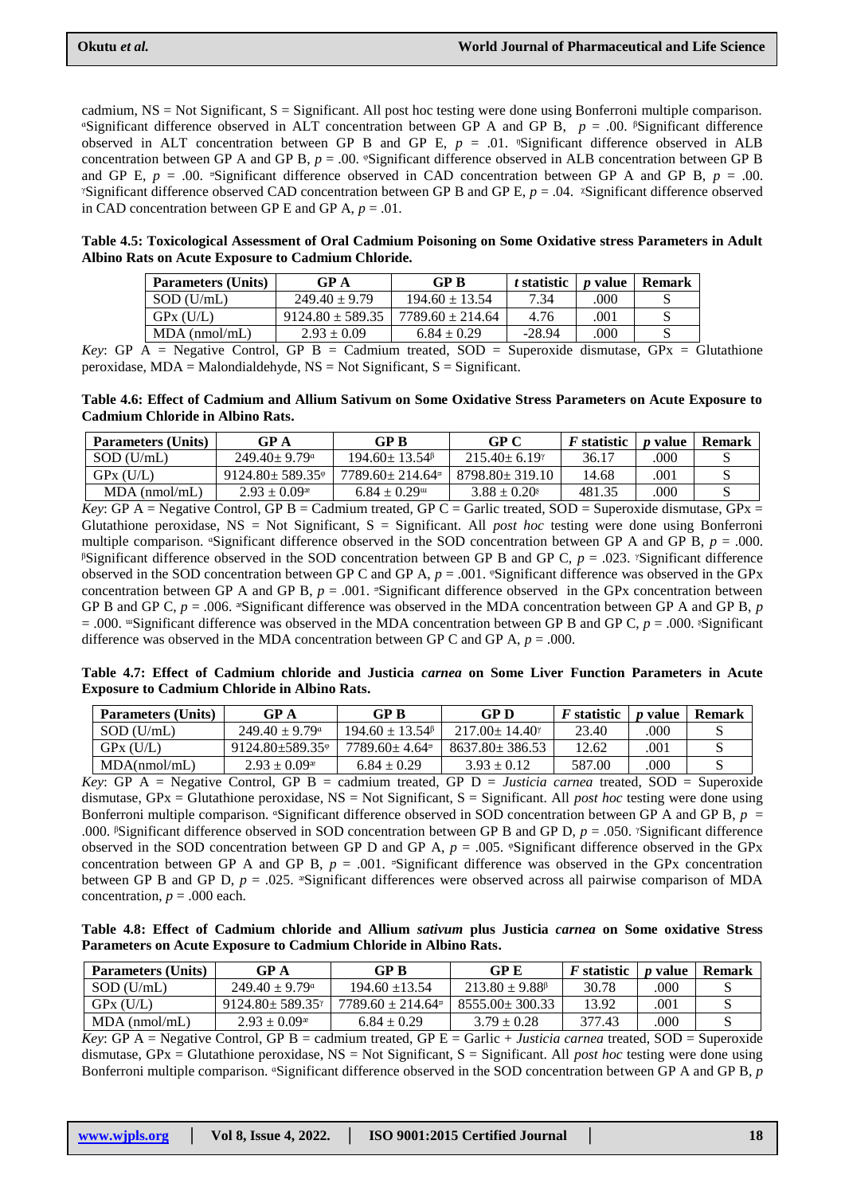cadmium, NS = Not Significant, S = Significant. All post hoc testing were done using Bonferroni multiple comparison.  $\text{``Significant difference observed in ALT concentration between GP A and GP B, } p = .00$ .  $\text{``Significant difference}$ observed in ALT concentration between GP B and GP E,  $p = .01$ . <sup>n</sup>Significant difference observed in ALB concentration between GP A and GP B,  $p = 0.00$ . <sup>o</sup>Significant difference observed in ALB concentration between GP B and GP E,  $p = .00$ . Significant difference observed in CAD concentration between GP A and GP B,  $p = .00$ . *N*Significant difference observed CAD concentration between GP B and GP E,  $p = .04$ . *N*Significant difference observed in CAD concentration between GP E and GP A,  $p = .01$ .

**Table 4.5: Toxicological Assessment of Oral Cadmium Poisoning on Some Oxidative stress Parameters in Adult Albino Rats on Acute Exposure to Cadmium Chloride.**

| GP A                 | GP B                 | t statistic | <i>p</i> value | Remark |
|----------------------|----------------------|-------------|----------------|--------|
| $249.40 \pm 9.79$    | $194.60 \pm 13.54$   | 7.34        | .000           |        |
| $9124.80 \pm 589.35$ | $7789.60 \pm 214.64$ | 4.76        | .001           |        |
| $2.93 \pm 0.09$      | $6.84 \pm 0.29$      | $-28.94$    | 000            |        |
|                      |                      | - - - - -   | .              |        |

*Key*: GP  $\overline{A}$  = Negative Control, GP  $\overline{B}$  = Cadmium treated, SOD = Superoxide dismutase, GPx = Glutathione peroxidase,  $MDA = Malondialdehyde, NS = Not Significant, S = Significant.$ 

**Table 4.6: Effect of Cadmium and Allium Sativum on Some Oxidative Stress Parameters on Acute Exposure to Cadmium Chloride in Albino Rats.**

| <b>Parameters (Units)</b> | GP A                           | GP B                                             | GP C                 | <i>F</i> statistic | <i>p</i> value | Remark |
|---------------------------|--------------------------------|--------------------------------------------------|----------------------|--------------------|----------------|--------|
| $SOD$ (U/mL)              | $249.40 \pm 9.79$ <sup>a</sup> | $194.60 \pm 13.54$ <sup><math>\beta</math></sup> | $215.40 \pm 6.19$    | 36.17              | .000           |        |
| GPX(U/L)                  | $9124.80 \pm 589.35$ °         | $7789.60 \pm 214.64$ <sup>=</sup>                | $8798.80 \pm 319.10$ | 14.68              | .001           |        |
| $MDA$ (nmol/mL)           | $2.93 \pm 0.09^*$              | $6.84 \pm 0.29$ <sup>m</sup>                     | $3.88 \pm 0.20$      | 481.35             | .000           |        |

*Key*: GP A = Negative Control, GP B = Cadmium treated, GP C = Garlic treated, SOD = Superoxide dismutase, GPx = Glutathione peroxidase, NS = Not Significant, S = Significant. All *post hoc* testing were done using Bonferroni multiple comparison.  $\text{``Significant difference observed in the SOD concentration between GP A and GP B, } p = .000$ . <sup>*B*</sup>Significant difference observed in the SOD concentration between GP B and GP C,  $p = .023$ . <sup>*S*</sup>Significant difference observed in the SOD concentration between GP C and GP A,  $p = .001$ . <sup>©</sup>Significant difference was observed in the GPx concentration between GP A and GP B,  $p = .001$ . <sup> $\sigma$ </sup>Significant difference observed in the GPx concentration between GP B and GP C,  $p = .006$ .  $\sqrt[8]{S}$ Significant difference was observed in the MDA concentration between GP A and GP B, p  $= .000$ . *''*Significant difference was observed in the MDA concentration between GP B and GP C,  $p = .000$ . *Significant* difference was observed in the MDA concentration between GP C and GP A,  $p = .000$ .

**Table 4.7: Effect of Cadmium chloride and Justicia** *carnea* **on Some Liver Function Parameters in Acute Exposure to Cadmium Chloride in Albino Rats.**

| <b>Parameters (Units)</b> | GP A                           | GP B                                             | GP D                       | <i>F</i> statistic | <i>p</i> value | Remark |
|---------------------------|--------------------------------|--------------------------------------------------|----------------------------|--------------------|----------------|--------|
| $SOD$ (U/mL)              | $249.40 \pm 9.79$ <sup>a</sup> | $194.60 \pm 13.54$ <sup><math>\beta</math></sup> | $217.00 \pm 14.40^{\circ}$ | 23.40              | .000           |        |
| GPX(U/L)                  | $9124.80 + 589.35$             | $7789.60 \pm 4.64$ <sup>=</sup>                  | $8637.80 \pm 386.53$       | 12.62              | 001            |        |
| MDA(nmol/mL)              | $2.93 \pm 0.09^*$              | $6.84 \pm 0.29$                                  | $3.93 \pm 0.12$            | 587.00             | 000            |        |

*Key*: GP A = Negative Control, GP B = cadmium treated, GP D = *Justicia carnea* treated, SOD = Superoxide dismutase, GPx = Glutathione peroxidase, NS = Not Significant, S = Significant. All *post hoc* testing were done using Bonferroni multiple comparison.  $\text{``Significant difference observed in SOD concentration between GP A and GP B, } p =$ .000. <sup>*S*</sup>Significant difference observed in SOD concentration between GP B and GP D,  $p = .050$ . <sup>*S*</sup>Significant difference observed in the SOD concentration between GP D and GP A,  $p = .005$ . <sup>®</sup>Significant difference observed in the GPx concentration between GP A and GP B,  $p = .001$ . Significant difference was observed in the GPx concentration between GP B and GP D,  $p = 0.025$ . <sup>\*</sup>Significant differences were observed across all pairwise comparison of MDA concentration,  $p = .000$  each.

**Table 4.8: Effect of Cadmium chloride and Allium** *sativum* **plus Justicia** *carnea* **on Some oxidative Stress Parameters on Acute Exposure to Cadmium Chloride in Albino Rats.**

| <b>Parameters (Units)</b> | GP A                           | GP B                              | GP E                                            | <i>F</i> statistic | <i>n</i> value | <b>Remark</b> |
|---------------------------|--------------------------------|-----------------------------------|-------------------------------------------------|--------------------|----------------|---------------|
| $SOD$ (U/mL)              | $249.40 \pm 9.79$ <sup>a</sup> | $194.60 \pm 13.54$                | $213.80 \pm 9.88$ <sup><math>\beta</math></sup> | 30.78              | .000           |               |
| GPx (U/L)                 | $9124.80 + 589.35$             | $7789.60 \pm 214.64$ <sup>=</sup> | $8555.00 \pm 300.33$                            | 13.92              | .001           |               |
| $MDA$ (nmol/mL)           | $2.93 \pm 0.09^*$              | $6.84 \pm 0.29$                   | $3.79 \pm 0.28$                                 | 377.43             | .000           |               |

*Key*: GP A = Negative Control, GP B = cadmium treated, GP E = Garlic + *Justicia carnea* treated, SOD = Superoxide dismutase, GPx = Glutathione peroxidase, NS = Not Significant, S = Significant. All *post hoc* testing were done using Bonferroni multiple comparison. <sup>a</sup>Significant difference observed in the SOD concentration between GP A and GP B, *p* 

| www.wipls.org | Vol 8. Issue 4, 2022. | ISO 9001:2015 Certified Journal |  |
|---------------|-----------------------|---------------------------------|--|
|---------------|-----------------------|---------------------------------|--|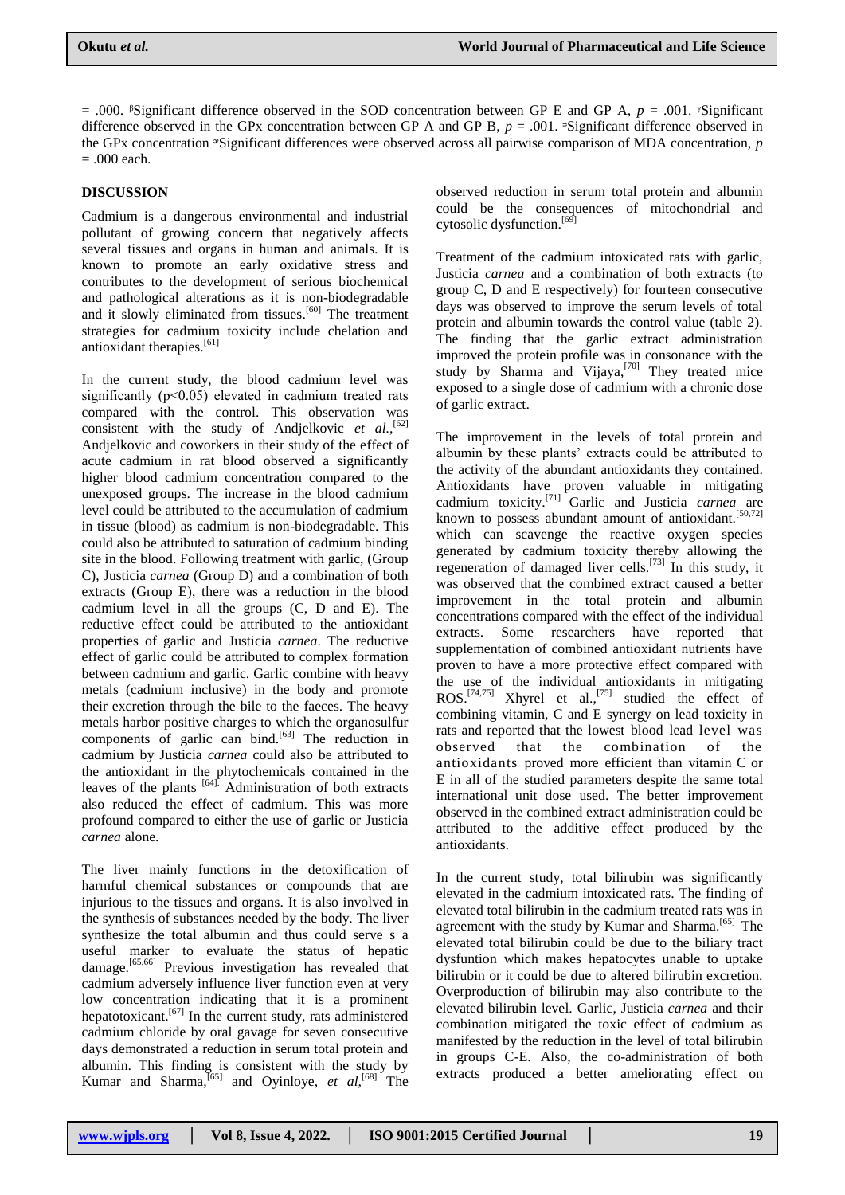$= .000$ . <sup>*§*</sup>Significant difference observed in the SOD concentration between GP E and GP A, *p* = .001. *<sup><i>Significant*</sup> difference observed in the GPx concentration between GP A and GP B,  $p = .001$ . <sup> $=$ </sup>Significant difference observed in the GPx concentration ᵆSignificant differences were observed across all pairwise comparison of MDA concentration, *p* = .000 each.

## **DISCUSSION**

Cadmium is a dangerous environmental and industrial pollutant of growing concern that negatively affects several tissues and organs in human and animals. It is known to promote an early oxidative stress and contributes to the development of serious biochemical and pathological alterations as it is non-biodegradable and it slowly eliminated from tissues.<sup>[60]</sup> The treatment strategies for cadmium toxicity include chelation and antioxidant therapies.<sup>[61]</sup>

In the current study, the blood cadmium level was significantly (p<0.05) elevated in cadmium treated rats compared with the control. This observation was consistent with the study of Andjelkovic *et al.*<sup>[62]</sup> Andjelkovic and coworkers in their study of the effect of acute cadmium in rat blood observed a significantly higher blood cadmium concentration compared to the unexposed groups. The increase in the blood cadmium level could be attributed to the accumulation of cadmium in tissue (blood) as cadmium is non-biodegradable. This could also be attributed to saturation of cadmium binding site in the blood. Following treatment with garlic, (Group C), Justicia *carnea* (Group D) and a combination of both extracts (Group E), there was a reduction in the blood cadmium level in all the groups (C, D and E). The reductive effect could be attributed to the antioxidant properties of garlic and Justicia *carnea*. The reductive effect of garlic could be attributed to complex formation between cadmium and garlic. Garlic combine with heavy metals (cadmium inclusive) in the body and promote their excretion through the bile to the faeces. The heavy metals harbor positive charges to which the organosulfur components of garlic can bind. $[63]$  The reduction in cadmium by Justicia *carnea* could also be attributed to the antioxidant in the phytochemicals contained in the leaves of the plants  $[64]$ . Administration of both extracts also reduced the effect of cadmium. This was more profound compared to either the use of garlic or Justicia *carnea* alone.

The liver mainly functions in the detoxification of harmful chemical substances or compounds that are injurious to the tissues and organs. It is also involved in the synthesis of substances needed by the body. The liver synthesize the total albumin and thus could serve s a useful marker to evaluate the status of hepatic damage.<sup>[65,66]</sup> Previous investigation has revealed that cadmium adversely influence liver function even at very low concentration indicating that it is a prominent hepatotoxicant.<sup>[67]</sup> In the current study, rats administered cadmium chloride by oral gavage for seven consecutive days demonstrated a reduction in serum total protein and albumin. This finding is consistent with the study by Kumar and Sharma,<sup>[65]</sup> and Oyinloye, *et al*,<sup>[68]</sup> The observed reduction in serum total protein and albumin could be the consequences of mitochondrial and cytosolic dysfunction.<sup>[69]</sup>

Treatment of the cadmium intoxicated rats with garlic, Justicia *carnea* and a combination of both extracts (to group C, D and E respectively) for fourteen consecutive days was observed to improve the serum levels of total protein and albumin towards the control value (table 2). The finding that the garlic extract administration improved the protein profile was in consonance with the study by Sharma and Vijaya,<sup>[70]</sup> They treated mice exposed to a single dose of cadmium with a chronic dose of garlic extract.

The improvement in the levels of total protein and albumin by these plants" extracts could be attributed to the activity of the abundant antioxidants they contained. Antioxidants have proven valuable in mitigating cadmium toxicity.[71] Garlic and Justicia *carnea* are known to possess abundant amount of antioxidant.<sup>[50,72]</sup> which can scavenge the reactive oxygen species generated by cadmium toxicity thereby allowing the regeneration of damaged liver cells.<sup>[73]</sup> In this study, it was observed that the combined extract caused a better improvement in the total protein and albumin concentrations compared with the effect of the individual extracts. Some researchers have reported that supplementation of combined antioxidant nutrients have proven to have a more protective effect compared with the use of the individual antioxidants in mitigating  $ROS.$ <sup>[74,75]</sup> Xhyrel et al.,<sup>[75]</sup> studied the effect of combining vitamin, C and E synergy on lead toxicity in rats and reported that the lowest blood lead level was observed that the combination of the antioxidants proved more efficient than vitamin C or E in all of the studied parameters despite the same total international unit dose used. The better improvement observed in the combined extract administration could be attributed to the additive effect produced by the antioxidants.

In the current study, total bilirubin was significantly elevated in the cadmium intoxicated rats. The finding of elevated total bilirubin in the cadmium treated rats was in agreement with the study by Kumar and Sharma.<sup>[65]</sup> The elevated total bilirubin could be due to the biliary tract dysfuntion which makes hepatocytes unable to uptake bilirubin or it could be due to altered bilirubin excretion. Overproduction of bilirubin may also contribute to the elevated bilirubin level. Garlic, Justicia *carnea* and their combination mitigated the toxic effect of cadmium as manifested by the reduction in the level of total bilirubin in groups C-E. Also, the co-administration of both extracts produced a better ameliorating effect on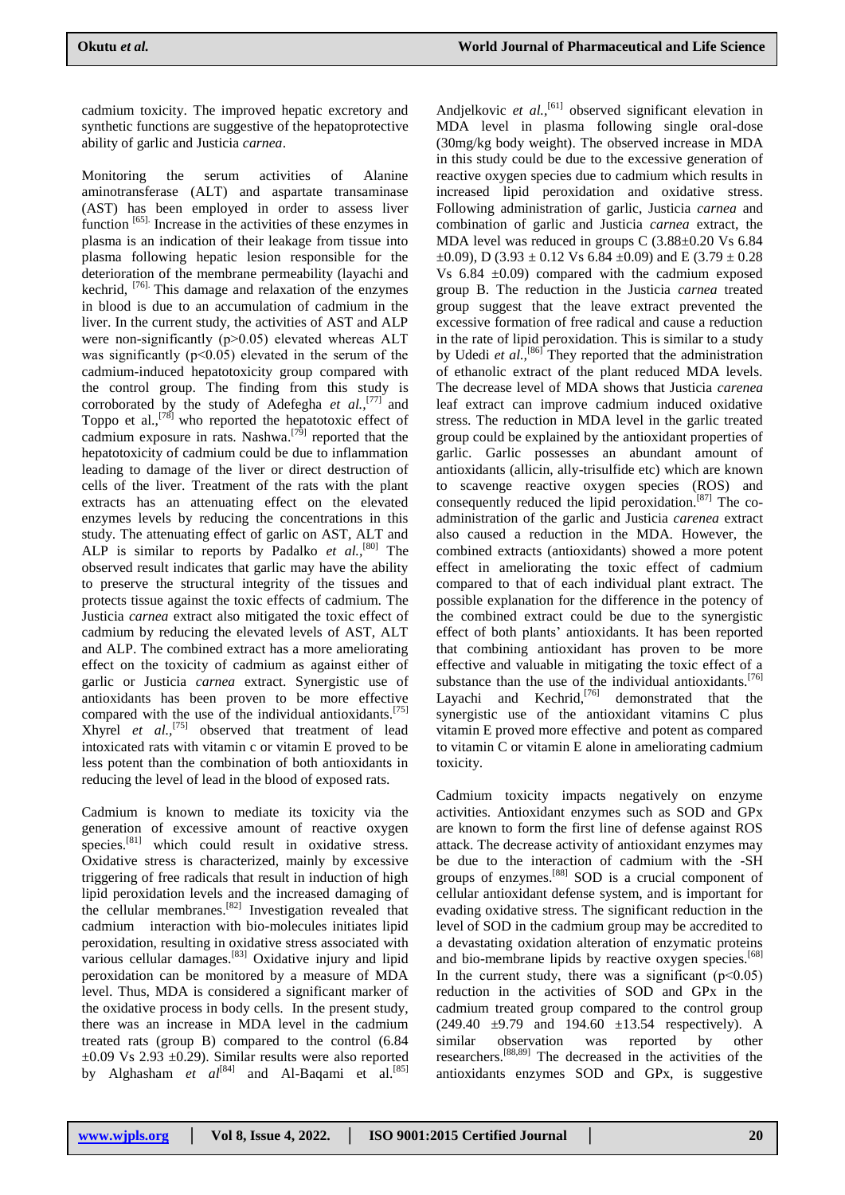cadmium toxicity. The improved hepatic excretory and synthetic functions are suggestive of the hepatoprotective ability of garlic and Justicia *carnea*.

Monitoring the serum activities of Alanine aminotransferase (ALT) and aspartate transaminase (AST) has been employed in order to assess liver function<sup>[65]</sup>. Increase in the activities of these enzymes in plasma is an indication of their leakage from tissue into plasma following hepatic lesion responsible for the deterioration of the membrane permeability (layachi and kechrid, [76]. This damage and relaxation of the enzymes in blood is due to an accumulation of cadmium in the liver. In the current study, the activities of AST and ALP were non-significantly  $(p>0.05)$  elevated whereas ALT was significantly  $(p<0.05)$  elevated in the serum of the cadmium-induced hepatotoxicity group compared with the control group. The finding from this study is corroborated by the study of Adefegha *et al.,*[77] and Toppo et al.,<sup>[78]</sup> who reported the hepatotoxic effect of cadmium exposure in rats. Nashwa.<sup>[79]</sup> reported that the hepatotoxicity of cadmium could be due to inflammation leading to damage of the liver or direct destruction of cells of the liver. Treatment of the rats with the plant extracts has an attenuating effect on the elevated enzymes levels by reducing the concentrations in this study. The attenuating effect of garlic on AST, ALT and ALP is similar to reports by Padalko *et al.,*[80] The observed result indicates that garlic may have the ability to preserve the structural integrity of the tissues and protects tissue against the toxic effects of cadmium. The Justicia *carnea* extract also mitigated the toxic effect of cadmium by reducing the elevated levels of AST, ALT and ALP. The combined extract has a more ameliorating effect on the toxicity of cadmium as against either of garlic or Justicia *carnea* extract. Synergistic use of antioxidants has been proven to be more effective compared with the use of the individual antioxidants.<sup>[75]</sup> Xhyrel *et al.,*[75] observed that treatment of lead intoxicated rats with vitamin c or vitamin E proved to be less potent than the combination of both antioxidants in reducing the level of lead in the blood of exposed rats.

Cadmium is known to mediate its toxicity via the generation of excessive amount of reactive oxygen species.<sup>[81]</sup> which could result in oxidative stress. Oxidative stress is characterized, mainly by excessive triggering of free radicals that result in induction of high lipid peroxidation levels and the increased damaging of the cellular membranes.<sup>[82]</sup> Investigation revealed that cadmium interaction with bio-molecules initiates lipid peroxidation, resulting in oxidative stress associated with various cellular damages.<sup>[83]</sup> Oxidative injury and lipid peroxidation can be monitored by a measure of MDA level. Thus, MDA is considered a significant marker of the oxidative process in body cells. In the present study, there was an increase in MDA level in the cadmium treated rats (group B) compared to the control (6.84  $\pm 0.09$  Vs 2.93  $\pm 0.29$ ). Similar results were also reported by Alghasham *et al*<sup>[84]</sup> and Al-Baqami et al.<sup>[85]</sup>

Andjelkovic et al.,<sup>[61]</sup> observed significant elevation in MDA level in plasma following single oral-dose (30mg/kg body weight). The observed increase in MDA in this study could be due to the excessive generation of reactive oxygen species due to cadmium which results in increased lipid peroxidation and oxidative stress. Following administration of garlic, Justicia *carnea* and combination of garlic and Justicia *carnea* extract, the MDA level was reduced in groups C (3.88±0.20 Vs 6.84  $\pm$ 0.09), D (3.93  $\pm$  0.12 Vs 6.84  $\pm$ 0.09) and E (3.79  $\pm$  0.28 Vs  $6.84 \pm 0.09$  compared with the cadmium exposed group B. The reduction in the Justicia *carnea* treated group suggest that the leave extract prevented the excessive formation of free radical and cause a reduction in the rate of lipid peroxidation. This is similar to a study by Udedi *et al.*,<sup>[86]</sup> They reported that the administration of ethanolic extract of the plant reduced MDA levels. The decrease level of MDA shows that Justicia *carenea* leaf extract can improve cadmium induced oxidative stress. The reduction in MDA level in the garlic treated group could be explained by the antioxidant properties of garlic. Garlic possesses an abundant amount of antioxidants (allicin, ally-trisulfide etc) which are known to scavenge reactive oxygen species (ROS) and consequently reduced the lipid peroxidation.[87] The coadministration of the garlic and Justicia *carenea* extract also caused a reduction in the MDA. However, the combined extracts (antioxidants) showed a more potent effect in ameliorating the toxic effect of cadmium compared to that of each individual plant extract. The possible explanation for the difference in the potency of the combined extract could be due to the synergistic effect of both plants" antioxidants. It has been reported that combining antioxidant has proven to be more effective and valuable in mitigating the toxic effect of a substance than the use of the individual antioxidants.<sup>[76]</sup> Layachi and Kechrid,<sup>[76]</sup> demonstrated that the synergistic use of the antioxidant vitamins C plus vitamin E proved more effective and potent as compared to vitamin C or vitamin E alone in ameliorating cadmium toxicity.

Cadmium toxicity impacts negatively on enzyme activities. Antioxidant enzymes such as SOD and GPx are known to form the first line of defense against ROS attack. The decrease activity of antioxidant enzymes may be due to the interaction of cadmium with the -SH groups of enzymes.[88] SOD is a crucial component of cellular antioxidant defense system, and is important for evading oxidative stress. The significant reduction in the level of SOD in the cadmium group may be accredited to a devastating oxidation alteration of enzymatic proteins and bio-membrane lipids by reactive oxygen species.<sup>[68]</sup> In the current study, there was a significant  $(p<0.05)$ reduction in the activities of SOD and GPx in the cadmium treated group compared to the control group  $(249.40 \pm 9.79 \text{ and } 194.60 \pm 13.54 \text{ respectively}).$  A similar observation was reported by other researchers.[88,89] The decreased in the activities of the antioxidants enzymes SOD and GPx, is suggestive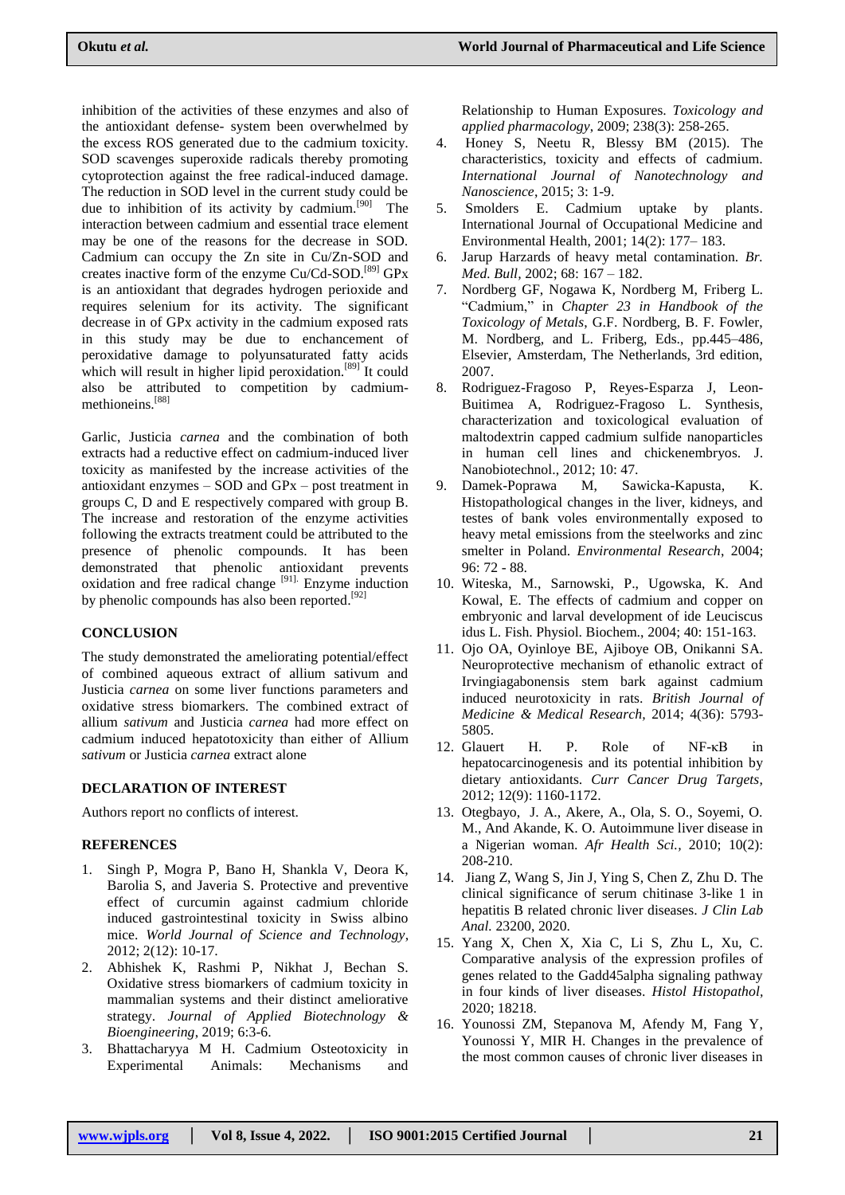inhibition of the activities of these enzymes and also of the antioxidant defense- system been overwhelmed by the excess ROS generated due to the cadmium toxicity. SOD scavenges superoxide radicals thereby promoting cytoprotection against the free radical-induced damage. The reduction in SOD level in the current study could be due to inhibition of its activity by cadmium.<sup>[90]</sup> The interaction between cadmium and essential trace element may be one of the reasons for the decrease in SOD. Cadmium can occupy the Zn site in Cu/Zn-SOD and creates inactive form of the enzyme Cu/Cd-SOD.[89] GPx is an antioxidant that degrades hydrogen perioxide and requires selenium for its activity. The significant decrease in of GPx activity in the cadmium exposed rats in this study may be due to enchancement of peroxidative damage to polyunsaturated fatty acids which will result in higher lipid peroxidation.<sup>[89]</sup> It could also be attributed to competition by cadmiummethioneins. [88]

Garlic, Justicia *carnea* and the combination of both extracts had a reductive effect on cadmium-induced liver toxicity as manifested by the increase activities of the antioxidant enzymes – SOD and GPx – post treatment in groups C, D and E respectively compared with group B. The increase and restoration of the enzyme activities following the extracts treatment could be attributed to the presence of phenolic compounds. It has been demonstrated that phenolic antioxidant prevents oxidation and free radical change  $[91]$ . Enzyme induction by phenolic compounds has also been reported.  $[92]$ 

## **CONCLUSION**

The study demonstrated the ameliorating potential/effect of combined aqueous extract of allium sativum and Justicia *carnea* on some liver functions parameters and oxidative stress biomarkers. The combined extract of allium *sativum* and Justicia *carnea* had more effect on cadmium induced hepatotoxicity than either of Allium *sativum* or Justicia *carnea* extract alone

#### **DECLARATION OF INTEREST**

Authors report no conflicts of interest.

## **REFERENCES**

- 1. Singh P, Mogra P, Bano H, Shankla V, Deora K, Barolia S, and Javeria S. Protective and preventive effect of curcumin against cadmium chloride induced gastrointestinal toxicity in Swiss albino mice. *World Journal of Science and Technology*, 2012; 2(12): 10-17.
- 2. Abhishek K, Rashmi P, Nikhat J, Bechan S. Oxidative stress biomarkers of cadmium toxicity in mammalian systems and their distinct ameliorative strategy. *Journal of Applied Biotechnology & Bioengineering*, 2019; 6:3-6.
- 3. Bhattacharyya M H. Cadmium Osteotoxicity in Experimental Animals: Mechanisms and

Relationship to Human Exposures. *Toxicology and applied pharmacology*, 2009; 238(3): 258-265.

- 4. Honey S, Neetu R, Blessy BM (2015). The characteristics, toxicity and effects of cadmium. *International Journal of Nanotechnology and Nanoscience*, 2015; 3: 1-9.
- 5. Smolders E. Cadmium uptake by plants. International Journal of Occupational Medicine and Environmental Health, 2001; 14(2): 177– 183.
- 6. Jarup Harzards of heavy metal contamination. *Br. Med. Bull,* 2002; 68: 167 – 182.
- 7. Nordberg GF, Nogawa K, Nordberg M, Friberg L. "Cadmium," in *Chapter 23 in Handbook of the Toxicology of Metals*, G.F. Nordberg, B. F. Fowler, M. Nordberg, and L. Friberg, Eds., pp.445–486, Elsevier, Amsterdam, The Netherlands, 3rd edition, 2007.
- 8. Rodriguez-Fragoso P, Reyes-Esparza J, Leon-Buitimea A, Rodriguez-Fragoso L. Synthesis, characterization and toxicological evaluation of maltodextrin capped cadmium sulfide nanoparticles in human cell lines and chickenembryos. J. Nanobiotechnol., 2012; 10: 47.
- 9. Damek-Poprawa M, Sawicka-Kapusta, K. Histopathological changes in the liver, kidneys, and testes of bank voles environmentally exposed to heavy metal emissions from the steelworks and zinc smelter in Poland. *Environmental Research*, 2004; 96: 72 - 88.
- 10. Witeska, M., Sarnowski, P., Ugowska, K. And Kowal, E. The effects of cadmium and copper on embryonic and larval development of ide Leuciscus idus L. Fish. Physiol. Biochem., 2004; 40: 151-163.
- 11. Ojo OA, Oyinloye BE, Ajiboye OB, Onikanni SA. Neuroprotective mechanism of ethanolic extract of Irvingiagabonensis stem bark against cadmium induced neurotoxicity in rats. *British Journal of Medicine & Medical Research,* 2014; 4(36): 5793- 5805.
- 12. Glauert H. P. Role of NF-κB in hepatocarcinogenesis and its potential inhibition by dietary antioxidants. *Curr Cancer Drug Targets*, 2012; 12(9): 1160-1172.
- 13. Otegbayo, J. A., Akere, A., Ola, S. O., Soyemi, O. M., And Akande, K. O. Autoimmune liver disease in a Nigerian woman. *Afr Health Sci.,* 2010; 10(2): 208-210.
- 14. Jiang Z, Wang S, Jin J, Ying S, Chen Z, Zhu D. The clinical significance of serum chitinase 3-like 1 in hepatitis B related chronic liver diseases. *J Clin Lab Anal.* 23200, 2020.
- 15. Yang X, Chen X, Xia C, Li S, Zhu L, Xu, C. Comparative analysis of the expression profiles of genes related to the Gadd45alpha signaling pathway in four kinds of liver diseases. *Histol Histopathol,*  2020; 18218.
- 16. Younossi ZM, Stepanova M, Afendy M, Fang Y, Younossi Y, MIR H. Changes in the prevalence of the most common causes of chronic liver diseases in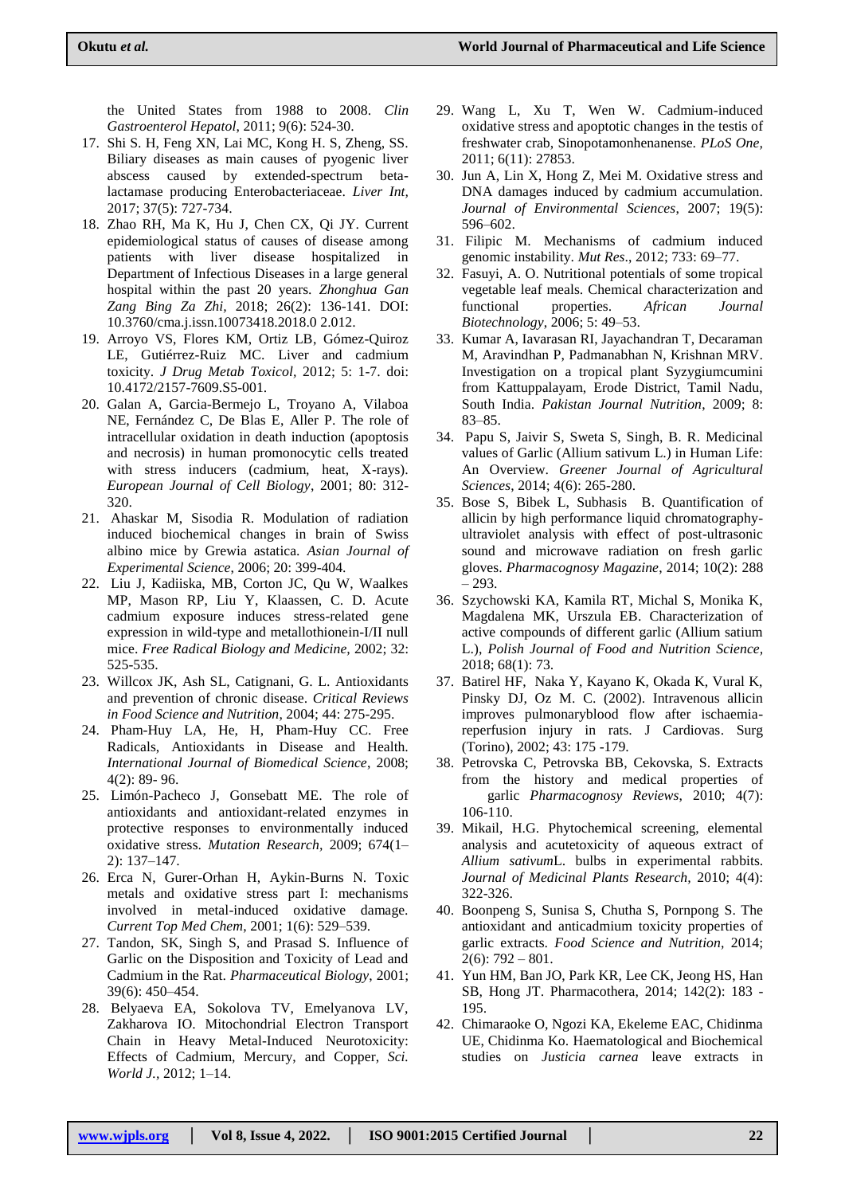the United States from 1988 to 2008. *Clin Gastroenterol Hepatol*, 2011; 9(6): 524-30.

- 17. Shi S. H, Feng XN, Lai MC, Kong H. S, Zheng, SS. Biliary diseases as main causes of pyogenic liver abscess caused by extended-spectrum betalactamase producing Enterobacteriaceae. *Liver Int,*  2017; 37(5): 727-734.
- 18. Zhao RH, Ma K, Hu J, Chen CX, Qi JY. Current epidemiological status of causes of disease among patients with liver disease hospitalized in Department of Infectious Diseases in a large general hospital within the past 20 years. *Zhonghua Gan Zang Bing Za Zhi,* 2018; 26(2): 136-141. DOI: 10.3760/cma.j.issn.10073418.2018.0 2.012.
- 19. Arroyo VS, Flores KM, Ortiz LB, Gómez-Quiroz LE, Gutiérrez-Ruiz MC. Liver and cadmium toxicity. *J Drug Metab Toxicol,* 2012; 5: 1-7. doi: 10.4172/2157-7609.S5-001.
- 20. Galan A, Garcia-Bermejo L, Troyano A, Vilaboa NE, Fernández C, De Blas E, Aller P. The role of intracellular oxidation in death induction (apoptosis and necrosis) in human promonocytic cells treated with stress inducers (cadmium, heat, X-rays). *European Journal of Cell Biology*, 2001; 80: 312- 320.
- 21. Ahaskar M, Sisodia R. Modulation of radiation induced biochemical changes in brain of Swiss albino mice by Grewia astatica. *Asian Journal of Experimental Science*, 2006; 20: 399-404.
- 22. Liu J, Kadiiska, MB, Corton JC, Qu W, Waalkes MP, Mason RP, Liu Y, Klaassen, C. D. Acute cadmium exposure induces stress-related gene expression in wild-type and metallothionein-I/II null mice. *Free Radical Biology and Medicine,* 2002; 32: 525-535.
- 23. Willcox JK, Ash SL, Catignani, G. L. Antioxidants and prevention of chronic disease. *Critical Reviews in Food Science and Nutrition*, 2004; 44: 275-295.
- 24. Pham-Huy LA, He, H, Pham-Huy CC. Free Radicals, Antioxidants in Disease and Health. *International Journal of Biomedical Science*, 2008; 4(2): 89- 96.
- 25. Limón-Pacheco J, Gonsebatt ME. The role of antioxidants and antioxidant-related enzymes in protective responses to environmentally induced oxidative stress. *Mutation Research,* 2009; 674(1– 2): 137–147.
- 26. Erca N, Gurer-Orhan H, Aykin-Burns N. Toxic metals and oxidative stress part I: mechanisms involved in metal-induced oxidative damage. *Current Top Med Chem*, 2001; 1(6): 529–539.
- 27. Tandon, SK, Singh S, and Prasad S. Influence of Garlic on the Disposition and Toxicity of Lead and Cadmium in the Rat. *Pharmaceutical Biology*, 2001; 39(6): 450–454.
- 28. Belyaeva EA, Sokolova TV, Emelyanova LV, Zakharova IO. Mitochondrial Electron Transport Chain in Heavy Metal-Induced Neurotoxicity: Effects of Cadmium, Mercury, and Copper, *Sci. World J.,* 2012; 1–14.
- 29. Wang L, Xu T, Wen W. Cadmium-induced oxidative stress and apoptotic changes in the testis of freshwater crab, Sinopotamonhenanense. *PLoS One,*  2011; 6(11): 27853.
- 30. Jun A, Lin X, Hong Z, Mei M. Oxidative stress and DNA damages induced by cadmium accumulation. *Journal of Environmental Sciences*, 2007; 19(5): 596–602.
- 31. Filipic M. Mechanisms of cadmium induced genomic instability. *Mut Res*., 2012; 733: 69–77.
- 32. Fasuyi, A. O. Nutritional potentials of some tropical vegetable leaf meals. Chemical characterization and functional properties. *African Journal Biotechnology*, 2006; 5: 49–53.
- 33. Kumar A, Iavarasan RI, Jayachandran T, Decaraman M, Aravindhan P, Padmanabhan N, Krishnan MRV. Investigation on a tropical plant Syzygiumcumini from Kattuppalayam, Erode District, Tamil Nadu, South India. *Pakistan Journal Nutrition*, 2009; 8: 83–85.
- 34. Papu S, Jaivir S, Sweta S, Singh, B. R. Medicinal values of Garlic (Allium sativum L.) in Human Life: An Overview. *Greener Journal of Agricultural Sciences*, 2014; 4(6): 265-280.
- 35. Bose S, Bibek L, Subhasis B. Quantification of allicin by high performance liquid chromatographyultraviolet analysis with effect of post-ultrasonic sound and microwave radiation on fresh garlic gloves. *Pharmacognosy Magazine*, 2014; 10(2): 288 – 293.
- 36. Szychowski KA, Kamila RT, Michal S, Monika K, Magdalena MK, Urszula EB. Characterization of active compounds of different garlic (Allium satium L.), *Polish Journal of Food and Nutrition Science,* 2018; 68(1): 73.
- 37. Batirel HF, Naka Y, Kayano K, Okada K, Vural K, Pinsky DJ, Oz M. C. (2002). Intravenous allicin improves pulmonaryblood flow after ischaemiareperfusion injury in rats. J Cardiovas. Surg (Torino), 2002; 43: 175 -179.
- 38. Petrovska C, Petrovska BB, Cekovska, S. Extracts from the history and medical properties of garlic *Pharmacognosy Reviews*, 2010; 4(7): 106-110.
- 39. Mikail, H.G. Phytochemical screening, elemental analysis and acutetoxicity of aqueous extract of *Allium sativum*L. bulbs in experimental rabbits. *Journal of Medicinal Plants Research,* 2010; 4(4): 322-326.
- 40. Boonpeng S, Sunisa S, Chutha S, Pornpong S. The antioxidant and anticadmium toxicity properties of garlic extracts. *Food Science and Nutrition,* 2014;  $2(6)$ : 792 – 801.
- 41. Yun HM, Ban JO, Park KR, Lee CK, Jeong HS, Han SB, Hong JT. Pharmacothera, 2014; 142(2): 183 - 195.
- 42. Chimaraoke O, Ngozi KA, Ekeleme EAC, Chidinma UE, Chidinma Ko. Haematological and Biochemical studies on *Justicia carnea* leave extracts in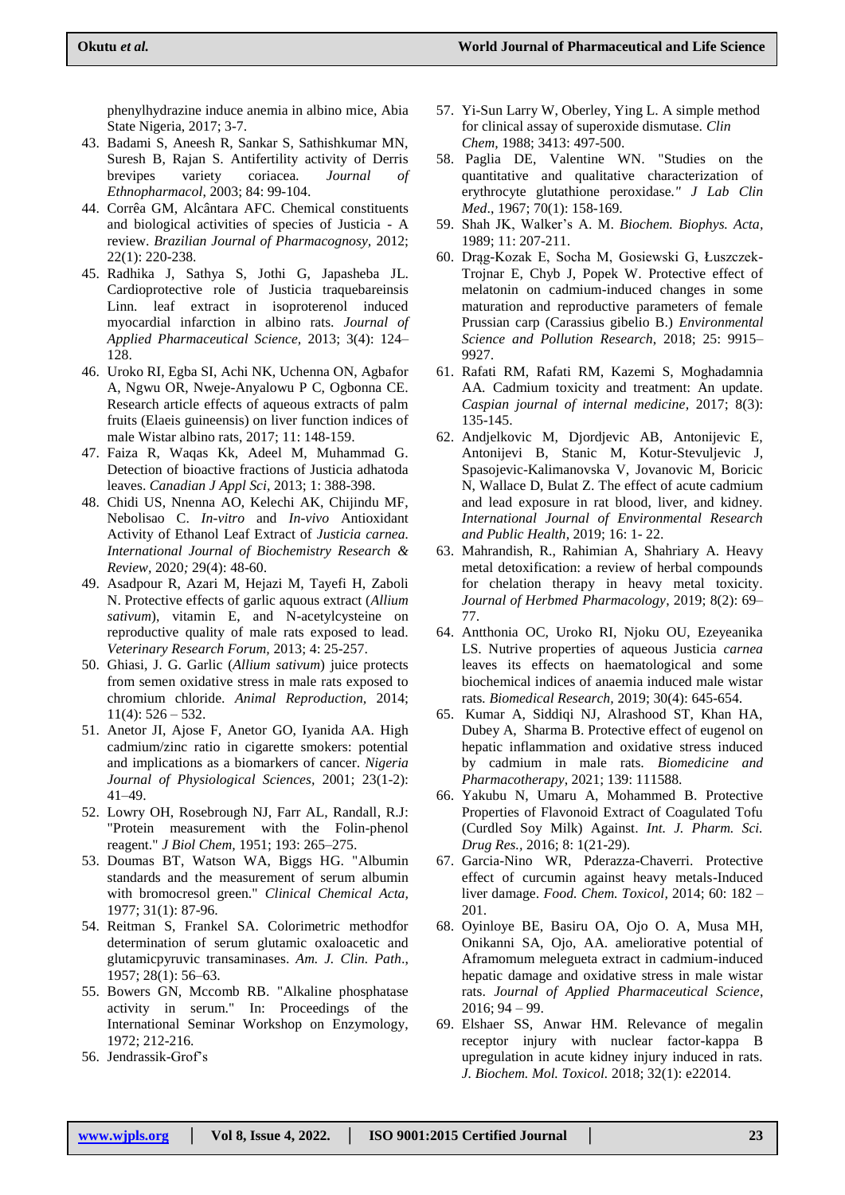phenylhydrazine induce anemia in albino mice, Abia State Nigeria, 2017; 3-7.

- 43. Badami S, Aneesh R, Sankar S, Sathishkumar MN, Suresh B, Rajan S. Antifertility activity of Derris brevipes variety coriacea*. Journal of Ethnopharmacol*, 2003; 84: 99-104.
- 44. Corrêa GM, Alcântara AFC. Chemical constituents and biological activities of species of Justicia - A review. *Brazilian Journal of Pharmacognosy,* 2012; 22(1): 220-238.
- 45. Radhika J, Sathya S, Jothi G, Japasheba JL. Cardioprotective role of Justicia traquebareinsis Linn. leaf extract in isoproterenol induced myocardial infarction in albino rats. *Journal of Applied Pharmaceutical Science,* 2013; 3(4): 124– 128.
- 46. Uroko RI, Egba SI, Achi NK, Uchenna ON, Agbafor A, Ngwu OR, Nweje-Anyalowu P C, Ogbonna CE. Research article effects of aqueous extracts of palm fruits (Elaeis guineensis) on liver function indices of male Wistar albino rats, 2017; 11: 148-159.
- 47. Faiza R, Waqas Kk, Adeel M, Muhammad G. Detection of bioactive fractions of Justicia adhatoda leaves. *Canadian J Appl Sci,* 2013; 1: 388-398.
- 48. Chidi US, Nnenna AO, Kelechi AK, Chijindu MF, Nebolisao C. *In-vitro* and *In-vivo* Antioxidant Activity of Ethanol Leaf Extract of *Justicia carnea. International Journal of Biochemistry Research & Review,* 2020*;* 29(4): 48-60.
- 49. Asadpour R, Azari M, Hejazi M, Tayefi H, Zaboli N. Protective effects of garlic aquous extract (*Allium sativum*), vitamin E, and N-acetylcysteine on reproductive quality of male rats exposed to lead. *Veterinary Research Forum,* 2013; 4: 25-257.
- 50. Ghiasi, J. G. Garlic (*Allium sativum*) juice protects from semen oxidative stress in male rats exposed to chromium chloride. *Animal Reproduction,* 2014;  $11(4): 526 - 532.$
- 51. Anetor JI, Ajose F, Anetor GO, Iyanida AA. High cadmium/zinc ratio in cigarette smokers: potential and implications as a biomarkers of cancer. *Nigeria Journal of Physiological Sciences,* 2001; 23(1-2): 41–49.
- 52. Lowry OH, Rosebrough NJ, Farr AL, Randall, R.J: "Protein measurement with the Folin-phenol reagent." *J Biol Chem,* 1951; 193: 265–275.
- 53. Doumas BT, Watson WA, Biggs HG. "Albumin standards and the measurement of serum albumin with bromocresol green." *Clinical Chemical Acta,* 1977; 31(1): 87-96.
- 54. Reitman S, Frankel SA. Colorimetric methodfor determination of serum glutamic oxaloacetic and glutamicpyruvic transaminases. *Am. J. Clin. Path*., 1957; 28(1): 56–63.
- 55. Bowers GN, Mccomb RB. "Alkaline phosphatase activity in serum." In: Proceedings of the International Seminar Workshop on Enzymology, 1972; 212-216.
- 56. Jendrassik-Grof"s
- 57. Yi-Sun Larry W, Oberley, Ying L. A simple method for clinical assay of superoxide dismutase. *Clin Chem,* 1988; 3413: 497-500.
- 58. Paglia DE, Valentine WN. "Studies on the quantitative and qualitative characterization of erythrocyte glutathione peroxidase*." J Lab Clin Med*., 1967; 70(1): 158-169.
- 59. Shah JK, Walker"s A. M. *Biochem. Biophys. Acta,*  1989; 11: 207-211.
- 60. Drąg-Kozak E, Socha M, Gosiewski G, Łuszczek-Trojnar E, Chyb J, Popek W. Protective effect of melatonin on cadmium-induced changes in some maturation and reproductive parameters of female Prussian carp (Carassius gibelio B.) *Environmental Science and Pollution Research*, 2018; 25: 9915– 9927.
- 61. Rafati RM, Rafati RM, Kazemi S, Moghadamnia AA. Cadmium toxicity and treatment: An update. *Caspian journal of internal medicine,* 2017; 8(3): 135-145.
- 62. Andjelkovic M, Djordjevic AB, Antonijevic E, Antonijevi B, Stanic M, Kotur-Stevuljevic J, Spasojevic-Kalimanovska V, Jovanovic M, Boricic N, Wallace D, Bulat Z. The effect of acute cadmium and lead exposure in rat blood, liver, and kidney. *International Journal of Environmental Research and Public Health*, 2019; 16: 1- 22.
- 63. Mahrandish, R., Rahimian A, Shahriary A. Heavy metal detoxification: a review of herbal compounds for chelation therapy in heavy metal toxicity. *Journal of Herbmed Pharmacology*, 2019; 8(2): 69– 77.
- 64. Antthonia OC, Uroko RI, Njoku OU, Ezeyeanika LS. Nutrive properties of aqueous Justicia *carnea* leaves its effects on haematological and some biochemical indices of anaemia induced male wistar rats*. Biomedical Research,* 2019; 30(4): 645-654.
- 65. Kumar A, Siddiqi NJ, Alrashood ST, Khan HA, Dubey A, Sharma B. Protective effect of eugenol on hepatic inflammation and oxidative stress induced by cadmium in male rats. *Biomedicine and Pharmacotherapy*, 2021; 139: 111588.
- 66. Yakubu N, Umaru A, Mohammed B. Protective Properties of Flavonoid Extract of Coagulated Tofu (Curdled Soy Milk) Against. *Int. J. Pharm. Sci. Drug Res.,* 2016; 8: 1(21-29).
- 67. Garcia-Nino WR, Pderazza-Chaverri. Protective effect of curcumin against heavy metals-Induced liver damage. *Food. Chem. Toxicol,* 2014; 60: 182 – 201.
- 68. Oyinloye BE, Basiru OA, Ojo O. A, Musa MH, Onikanni SA, Ojo, AA. ameliorative potential of Aframomum melegueta extract in cadmium-induced hepatic damage and oxidative stress in male wistar rats. *Journal of Applied Pharmaceutical Science*, 2016; 94 – 99.
- 69. Elshaer SS, Anwar HM. Relevance of megalin receptor injury with nuclear factor-kappa B upregulation in acute kidney injury induced in rats. *J. Biochem. Mol. Toxicol.* 2018; 32(1): e22014.